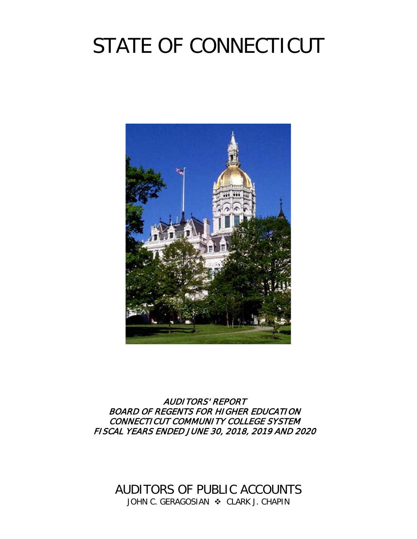# STATE OF CONNECTICUT



AUDITORS' REPORT BOARD OF REGENTS FOR HIGHER EDUCATION CONNECTICUT COMMUNITY COLLEGE SYSTEM FISCAL YEARS ENDED JUNE 30, 2018, 2019 AND 2020

AUDITORS OF PUBLIC ACCOUNTS JOHN C. GERAGOSIAN  $\cdot$  CLARK J. CHAPIN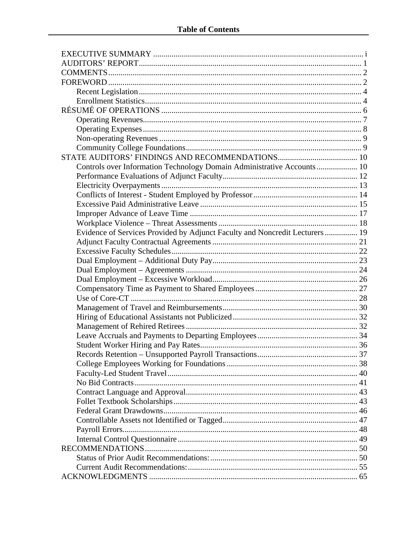| Controls over Information Technology Domain Administrative Accounts 10       |  |
|------------------------------------------------------------------------------|--|
|                                                                              |  |
|                                                                              |  |
|                                                                              |  |
|                                                                              |  |
|                                                                              |  |
|                                                                              |  |
| Evidence of Services Provided by Adjunct Faculty and Noncredit Lecturers  19 |  |
|                                                                              |  |
|                                                                              |  |
|                                                                              |  |
|                                                                              |  |
|                                                                              |  |
|                                                                              |  |
|                                                                              |  |
|                                                                              |  |
|                                                                              |  |
|                                                                              |  |
|                                                                              |  |
|                                                                              |  |
|                                                                              |  |
|                                                                              |  |
|                                                                              |  |
|                                                                              |  |
|                                                                              |  |
|                                                                              |  |
|                                                                              |  |
|                                                                              |  |
|                                                                              |  |
|                                                                              |  |
|                                                                              |  |
|                                                                              |  |
|                                                                              |  |
|                                                                              |  |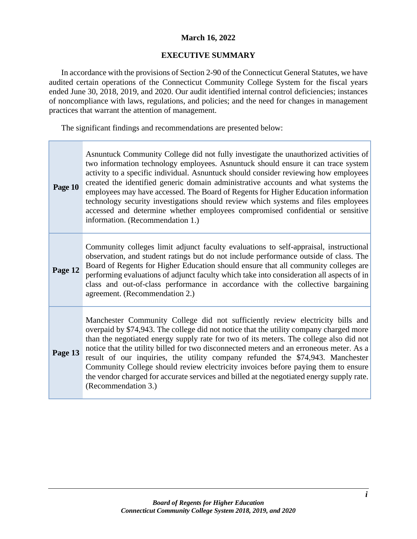## **March 16, 2022**

## **EXECUTIVE SUMMARY**

In accordance with the provisions of Section 2-90 of the Connecticut General Statutes, we have audited certain operations of the Connecticut Community College System for the fiscal years ended June 30, 2018, 2019, and 2020. Our audit identified internal control deficiencies; instances of noncompliance with laws, regulations, and policies; and the need for changes in management practices that warrant the attention of management.

The significant findings and recommendations are presented below:

| Page 10 | Asnuntuck Community College did not fully investigate the unauthorized activities of<br>two information technology employees. Asnuntuck should ensure it can trace system<br>activity to a specific individual. Asnuntuck should consider reviewing how employees<br>created the identified generic domain administrative accounts and what systems the<br>employees may have accessed. The Board of Regents for Higher Education information<br>technology security investigations should review which systems and files employees<br>accessed and determine whether employees compromised confidential or sensitive<br>information. (Recommendation 1.) |
|---------|-----------------------------------------------------------------------------------------------------------------------------------------------------------------------------------------------------------------------------------------------------------------------------------------------------------------------------------------------------------------------------------------------------------------------------------------------------------------------------------------------------------------------------------------------------------------------------------------------------------------------------------------------------------|
| Page 12 | Community colleges limit adjunct faculty evaluations to self-appraisal, instructional<br>observation, and student ratings but do not include performance outside of class. The<br>Board of Regents for Higher Education should ensure that all community colleges are<br>performing evaluations of adjunct faculty which take into consideration all aspects of in<br>class and out-of-class performance in accordance with the collective bargaining<br>agreement. (Recommendation 2.)                                                                                                                                                                   |
| Page 13 | Manchester Community College did not sufficiently review electricity bills and<br>overpaid by \$74,943. The college did not notice that the utility company charged more<br>than the negotiated energy supply rate for two of its meters. The college also did not<br>notice that the utility billed for two disconnected meters and an erroneous meter. As a<br>result of our inquiries, the utility company refunded the \$74,943. Manchester<br>Community College should review electricity invoices before paying them to ensure<br>the vendor charged for accurate services and billed at the negotiated energy supply rate.<br>(Recommendation 3.)  |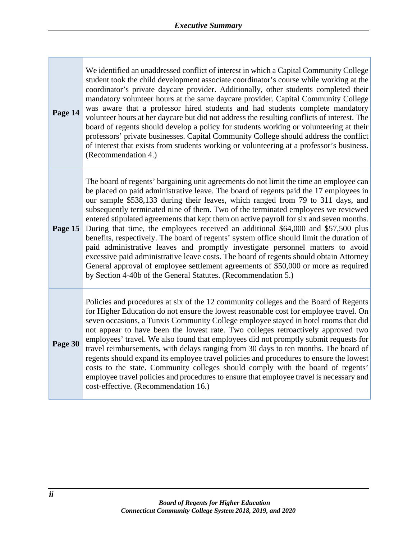**Page 14** We identified an unaddressed conflict of interest in which a Capital Community College student took the child development associate coordinator's course while working at the coordinator's private daycare provider. Additionally, other students completed their mandatory volunteer hours at the same daycare provider. Capital Community College was aware that a professor hired students and had students complete mandatory volunteer hours at her daycare but did not address the resulting conflicts of interest. The board of regents should develop a policy for students working or volunteering at their professors' private businesses. Capital Community College should address the conflict of interest that exists from students working or volunteering at a professor's business. (Recommendation 4.)

The board of regents' bargaining unit agreements do not limit the time an employee can be placed on paid administrative leave. The board of regents paid the 17 employees in our sample \$538,133 during their leaves, which ranged from 79 to 311 days, and subsequently terminated nine of them. Two of the terminated employees we reviewed entered stipulated agreements that kept them on active payroll for six and seven months.

**Page 15** During that time, the employees received an additional \$64,000 and \$57,500 plus benefits, respectively. The board of regents' system office should limit the duration of paid administrative leaves and promptly investigate personnel matters to avoid excessive paid administrative leave costs. The board of regents should obtain Attorney General approval of employee settlement agreements of \$50,000 or more as required by Section 4-40b of the General Statutes. (Recommendation 5.)

**Page 30** Policies and procedures at six of the 12 community colleges and the Board of Regents for Higher Education do not ensure the lowest reasonable cost for employee travel. On seven occasions, a Tunxis Community College employee stayed in hotel rooms that did not appear to have been the lowest rate. Two colleges retroactively approved two employees' travel. We also found that employees did not promptly submit requests for travel reimbursements, with delays ranging from 30 days to ten months. The board of regents should expand its employee travel policies and procedures to ensure the lowest costs to the state. Community colleges should comply with the board of regents' employee travel policies and procedures to ensure that employee travel is necessary and cost-effective. (Recommendation 16.)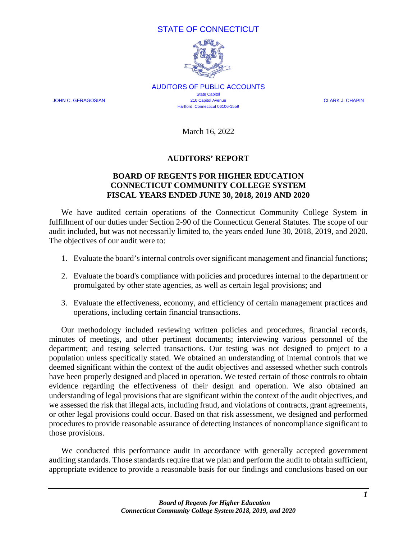## STATE OF CONNECTICUT



AUDITORS OF PUBLIC ACCOUNTS State Capitol JOHN C. GERAGOSIAN 210 Capitol Avenue CLARK J. CHAPIN Hartford, Connecticut 06106-1559

March 16, 2022

#### **AUDITORS' REPORT**

## **BOARD OF REGENTS FOR HIGHER EDUCATION CONNECTICUT COMMUNITY COLLEGE SYSTEM FISCAL YEARS ENDED JUNE 30, 2018, 2019 AND 2020**

We have audited certain operations of the Connecticut Community College System in fulfillment of our duties under Section 2-90 of the Connecticut General Statutes. The scope of our audit included, but was not necessarily limited to, the years ended June 30, 2018, 2019, and 2020. The objectives of our audit were to:

- 1. Evaluate the board's internal controls over significant management and financial functions;
- 2. Evaluate the board's compliance with policies and procedures internal to the department or promulgated by other state agencies, as well as certain legal provisions; and
- 3. Evaluate the effectiveness, economy, and efficiency of certain management practices and operations, including certain financial transactions.

Our methodology included reviewing written policies and procedures, financial records, minutes of meetings, and other pertinent documents; interviewing various personnel of the department; and testing selected transactions. Our testing was not designed to project to a population unless specifically stated. We obtained an understanding of internal controls that we deemed significant within the context of the audit objectives and assessed whether such controls have been properly designed and placed in operation. We tested certain of those controls to obtain evidence regarding the effectiveness of their design and operation. We also obtained an understanding of legal provisions that are significant within the context of the audit objectives, and we assessed the risk that illegal acts, including fraud, and violations of contracts, grant agreements, or other legal provisions could occur. Based on that risk assessment, we designed and performed procedures to provide reasonable assurance of detecting instances of noncompliance significant to those provisions.

We conducted this performance audit in accordance with generally accepted government auditing standards. Those standards require that we plan and perform the audit to obtain sufficient, appropriate evidence to provide a reasonable basis for our findings and conclusions based on our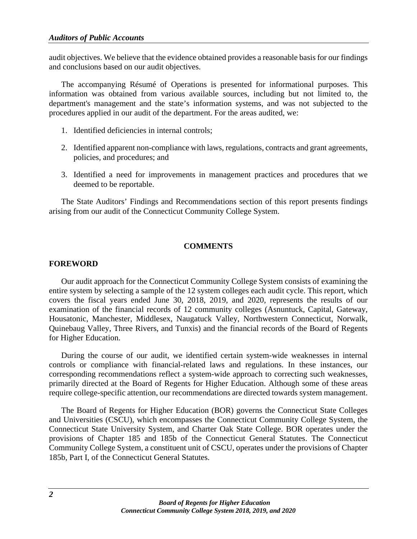audit objectives. We believe that the evidence obtained provides a reasonable basis for our findings and conclusions based on our audit objectives.

The accompanying Résumé of Operations is presented for informational purposes. This information was obtained from various available sources, including but not limited to, the department's management and the state's information systems, and was not subjected to the procedures applied in our audit of the department. For the areas audited, we:

- 1. Identified deficiencies in internal controls;
- 2. Identified apparent non-compliance with laws, regulations, contracts and grant agreements, policies, and procedures; and
- 3. Identified a need for improvements in management practices and procedures that we deemed to be reportable.

The State Auditors' Findings and Recommendations section of this report presents findings arising from our audit of the Connecticut Community College System.

## **COMMENTS**

#### **FOREWORD**

Our audit approach for the Connecticut Community College System consists of examining the entire system by selecting a sample of the 12 system colleges each audit cycle. This report, which covers the fiscal years ended June 30, 2018, 2019, and 2020, represents the results of our examination of the financial records of 12 community colleges (Asnuntuck, Capital, Gateway, Housatonic, Manchester, Middlesex, Naugatuck Valley, Northwestern Connecticut, Norwalk, Quinebaug Valley, Three Rivers, and Tunxis) and the financial records of the Board of Regents for Higher Education.

During the course of our audit, we identified certain system-wide weaknesses in internal controls or compliance with financial-related laws and regulations. In these instances, our corresponding recommendations reflect a system-wide approach to correcting such weaknesses, primarily directed at the Board of Regents for Higher Education. Although some of these areas require college-specific attention, our recommendations are directed towards system management.

The Board of Regents for Higher Education (BOR) governs the Connecticut State Colleges and Universities (CSCU), which encompasses the Connecticut Community College System, the Connecticut State University System, and Charter Oak State College. BOR operates under the provisions of Chapter 185 and 185b of the Connecticut General Statutes. The Connecticut Community College System, a constituent unit of CSCU, operates under the provisions of Chapter 185b, Part I, of the Connecticut General Statutes.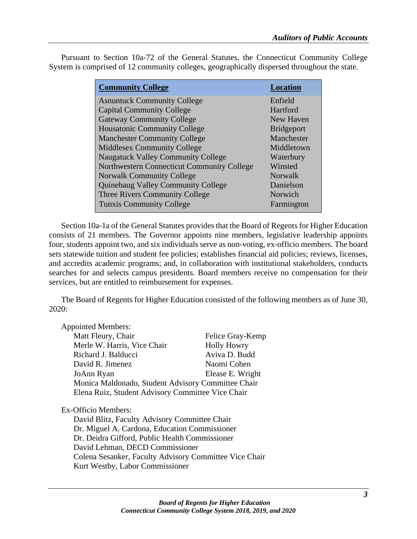| <b>Community College</b>                   | <b>Location</b>   |
|--------------------------------------------|-------------------|
| <b>Asnuntuck Community College</b>         | Enfield           |
| <b>Capital Community College</b>           | Hartford          |
| <b>Gateway Community College</b>           | New Haven         |
| <b>Housatonic Community College</b>        | <b>Bridgeport</b> |
| <b>Manchester Community College</b>        | Manchester        |
| <b>Middlesex Community College</b>         | Middletown        |
| <b>Naugatuck Valley Community College</b>  | Waterbury         |
| Northwestern Connecticut Community College | Winsted           |
| <b>Norwalk Community College</b>           | Norwalk           |
| Quinebaug Valley Community College         | Danielson         |
| Three Rivers Community College             | Norwich           |
| <b>Tunxis Community College</b>            | Farmington        |

Pursuant to Section 10a-72 of the General Statutes, the Connecticut Community College System is comprised of 12 community colleges, geographically dispersed throughout the state.

Section 10a-1a of the General Statutes provides that the Board of Regents for Higher Education consists of 21 members. The Governor appoints nine members, legislative leadership appoints four, students appoint two, and six individuals serve as non-voting, ex-officio members. The board sets statewide tuition and student fee policies; establishes financial aid policies; reviews, licenses, and accredits academic programs; and, in collaboration with institutional stakeholders, conducts searches for and selects campus presidents. Board members receive no compensation for their services, but are entitled to reimbursement for expenses.

The Board of Regents for Higher Education consisted of the following members as of June 30, 2020:

| <b>Appointed Members:</b>                          |                    |
|----------------------------------------------------|--------------------|
| Matt Fleury, Chair                                 | Felice Gray-Kemp   |
| Merle W. Harris, Vice Chair                        | <b>Holly Howry</b> |
| Richard J. Balducci                                | Aviva D. Budd      |
| David R. Jimenez                                   | Naomi Cohen        |
| JoAnn Ryan                                         | Elease E. Wright   |
| Monica Maldonado, Student Advisory Committee Chair |                    |
| Elena Ruiz, Student Advisory Committee Vice Chair  |                    |
|                                                    |                    |

Ex-Officio Members:

David Blitz, Faculty Advisory Committee Chair Dr. Miguel A. Cardona, Education Commissioner Dr. Deidra Gifford, Public Health Commissioner David Lehman, DECD Commissioner Colena Sesanker, Faculty Advisory Committee Vice Chair Kurt Westby, Labor Commissioner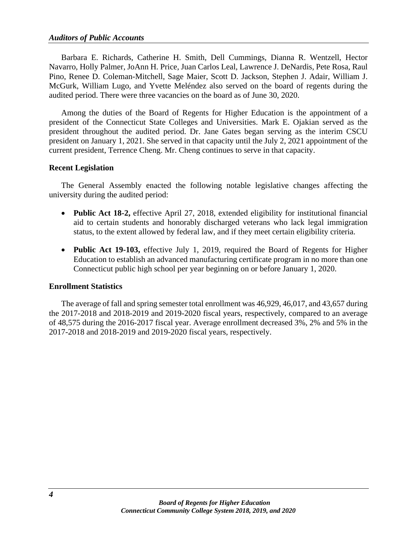Barbara E. Richards, Catherine H. Smith, Dell Cummings, Dianna R. Wentzell, Hector Navarro, Holly Palmer, JoAnn H. Price, Juan Carlos Leal, Lawrence J. DeNardis, Pete Rosa, Raul Pino, Renee D. Coleman-Mitchell, Sage Maier, Scott D. Jackson, Stephen J. Adair, William J. McGurk, William Lugo, and Yvette Meléndez also served on the board of regents during the audited period. There were three vacancies on the board as of June 30, 2020.

Among the duties of the Board of Regents for Higher Education is the appointment of a president of the Connecticut State Colleges and Universities. Mark E. Ojakian served as the president throughout the audited period. Dr. Jane Gates began serving as the interim CSCU president on January 1, 2021. She served in that capacity until the July 2, 2021 appointment of the current president, Terrence Cheng. Mr. Cheng continues to serve in that capacity.

#### **Recent Legislation**

The General Assembly enacted the following notable legislative changes affecting the university during the audited period:

- **Public Act 18-2,** effective April 27, 2018, extended eligibility for institutional financial aid to certain students and honorably discharged veterans who lack legal immigration status, to the extent allowed by federal law, and if they meet certain eligibility criteria.
- **Public Act 19-103,** effective July 1, 2019, required the Board of Regents for Higher Education to establish an advanced manufacturing certificate program in no more than one Connecticut public high school per year beginning on or before January 1, 2020.

#### **Enrollment Statistics**

The average of fall and spring semester total enrollment was 46,929, 46,017, and 43,657 during the 2017-2018 and 2018-2019 and 2019-2020 fiscal years, respectively, compared to an average of 48,575 during the 2016-2017 fiscal year. Average enrollment decreased 3%, 2% and 5% in the 2017-2018 and 2018-2019 and 2019-2020 fiscal years, respectively.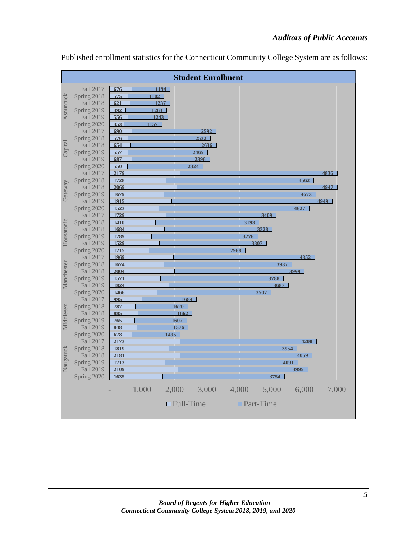|            |                          | <b>Student Enrollment</b>                          |       |
|------------|--------------------------|----------------------------------------------------|-------|
|            | Fall 2017                | 1194<br>676                                        |       |
|            | Spring 2018              | 575<br>1102                                        |       |
| Asnuntuck  | <b>Fall 2018</b>         | 1237<br>621                                        |       |
|            | Spring 2019              | $\overline{492}$<br>$\overline{1263}$              |       |
|            | Fall 2019                | 556<br>1243                                        |       |
|            | Spring 2020              | 1157<br>453                                        |       |
|            | Fall 2017                | 690<br>2592                                        |       |
|            | Spring 2018              | $\overline{576}$<br>2532                           |       |
| Capital    | Fall 2018                | 654<br>2636                                        |       |
|            | Spring 2019              | $\overline{557}$<br>2465                           |       |
|            | <b>Fall 2019</b>         | 2396<br>687                                        |       |
|            | Spring 2020              | 550<br>2324                                        |       |
|            | Fall 2017                | 2179                                               | 4836  |
|            | Spring 2018              | 1728<br>4562                                       |       |
|            | <b>Fall 2018</b>         | 2069                                               | 4947  |
| Gateway    | Spring 2019<br>Fall 2019 | 1679<br>4673<br>$\overline{1915}$                  |       |
|            | Spring 2020              | 1523<br>4627                                       | 4949  |
|            | Fall 2017                | 1729<br>3409                                       |       |
|            | Spring 2018              | <b>1410</b><br>3193                                |       |
|            | Fall 2018                | 1684<br>3328                                       |       |
|            | Spring 2019              | 1289<br>3276                                       |       |
| Housatonic | Fall 2019                | 1529<br>3307                                       |       |
|            | Spring 2020              | $\overline{1215}$<br>2968                          |       |
|            | Fall 2017                | <b>1969</b><br>4352                                |       |
|            | Spring 2018              | 1674<br>3937                                       |       |
|            | Fall 2018                | 2004<br>3999                                       |       |
| Manchester | Spring 2019              | 1571<br>3788                                       |       |
|            | Fall 2019                | 1824<br>3687                                       |       |
|            | Spring 2020              | 1466<br>3507                                       |       |
|            | Fall 2017<br>Spring 2018 | $\overline{995}$<br>1684<br>787                    |       |
| Middlesex  | Fall 2018                | 1620<br>885<br>1662                                |       |
|            | Spring 2019              | 765<br>1607                                        |       |
|            | Fall 2019                | 1576<br>848                                        |       |
|            | Spring 2020              | 1495<br>678                                        |       |
|            | Fall 2017                | 2173<br>4200                                       |       |
|            | Spring 2018              | 1819<br>3954                                       |       |
|            | Fall 2018                | 2181<br>4059                                       |       |
| Naugatuck  | Spring 2019              | 1713<br>4091                                       |       |
|            | Fall 2019                | $\frac{2109}{ }$<br>3995                           |       |
|            | Spring 2020              | 1635<br>3754                                       |       |
|            |                          | 1,000<br>3,000<br>4,000<br>5,000<br>6,000<br>2,000 | 7,000 |
|            |                          | $\Box$ Full-Time<br>$\Box$ Part-Time               |       |

Published enrollment statistics for the Connecticut Community College System are as follows: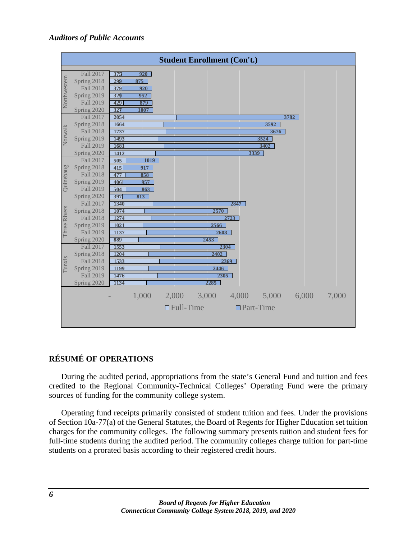|              |                                 | <b>Student Enrollment (Con't.)</b>        |       |       |
|--------------|---------------------------------|-------------------------------------------|-------|-------|
|              |                                 |                                           |       |       |
|              | Fall 2017<br>Spring 2018        | $\overline{920}$<br>375<br>875            |       |       |
|              | <b>Fall 2018</b>                | 299<br>379<br>$\overline{920}$            |       |       |
|              | Spring 2019                     | 329<br>952                                |       |       |
| Northwestern | Fall 2019                       | $\overline{429}$<br>879                   |       |       |
|              | Spring 2020                     | $\overline{327}$<br>1007                  |       |       |
|              | Fall 2017                       | 2054<br>3782                              |       |       |
|              | Spring 2018                     | 1664<br>3592                              |       |       |
|              | <b>Fall 2018</b>                | 1737<br>3676                              |       |       |
| Norwalk      | Spring 2019                     | 1493<br>3524                              |       |       |
|              | Fall 2019                       | 1681<br>3402                              |       |       |
|              | Spring 2020                     | 1412<br>3339                              |       |       |
|              | <b>Fall 2017</b>                | 505<br>1019                               |       |       |
|              | Spring 2018                     | $\overline{415}$<br>917                   |       |       |
| Quinebaug    | <b>Fall 2018</b>                | 477<br>858                                |       |       |
|              | Spring 2019                     | 406<br>957                                |       |       |
|              | <b>Fall 2019</b>                | 504<br>863                                |       |       |
|              | Spring 2020                     | 397<br>813                                |       |       |
|              | <b>Fall 2017</b>                | 1340<br>2847                              |       |       |
| Three Rivers | Spring 2018                     | 1074<br>$\frac{2570}{ }$                  |       |       |
|              | <b>Fall 2018</b>                | 1274<br>2723                              |       |       |
|              | Spring 2019                     | 1021<br>2566                              |       |       |
|              | Fall 2019                       | 1137<br>2608                              |       |       |
|              | Spring 2020                     | 889<br>2453                               |       |       |
|              | Fall 2017                       | 1553<br>2304                              |       |       |
|              | Spring 2018                     | 1204<br>2402<br>1533                      |       |       |
| Tunxis       | <b>Fall 2018</b><br>Spring 2019 | 2369<br><b>1199</b><br>2446               |       |       |
|              | Fall 2019                       | 1476<br>2305                              |       |       |
|              | Spring 2020                     | 1134<br>2285                              |       |       |
|              |                                 |                                           |       |       |
|              |                                 | 5,000<br>1,000<br>2,000<br>3,000<br>4,000 | 6,000 | 7,000 |
|              |                                 | $\Box$ Full-Time<br>$\Box$ Part-Time      |       |       |
|              |                                 |                                           |       |       |
|              |                                 |                                           |       |       |

## **RÉSUMÉ OF OPERATIONS**

During the audited period, appropriations from the state's General Fund and tuition and fees credited to the Regional Community-Technical Colleges' Operating Fund were the primary sources of funding for the community college system.

Operating fund receipts primarily consisted of student tuition and fees. Under the provisions of Section 10a-77(a) of the General Statutes, the Board of Regents for Higher Education set tuition charges for the community colleges. The following summary presents tuition and student fees for full-time students during the audited period. The community colleges charge tuition for part-time students on a prorated basis according to their registered credit hours.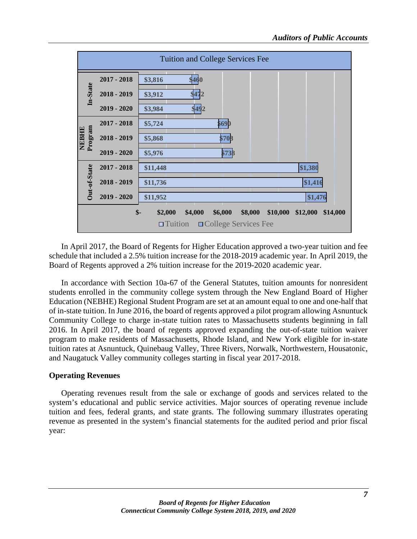

In April 2017, the Board of Regents for Higher Education approved a two-year tuition and fee schedule that included a 2.5% tuition increase for the 2018-2019 academic year. In April 2019, the Board of Regents approved a 2% tuition increase for the 2019-2020 academic year.

In accordance with Section 10a-67 of the General Statutes, tuition amounts for nonresident students enrolled in the community college system through the New England Board of Higher Education (NEBHE) Regional Student Program are set at an amount equal to one and one-half that of in-state tuition. In June 2016, the board of regents approved a pilot program allowing Asnuntuck Community College to charge in-state tuition rates to Massachusetts students beginning in fall 2016. In April 2017, the board of regents approved expanding the out-of-state tuition waiver program to make residents of Massachusetts, Rhode Island, and New York eligible for in-state tuition rates at Asnuntuck, Quinebaug Valley, Three Rivers, Norwalk, Northwestern, Housatonic, and Naugatuck Valley community colleges starting in fiscal year 2017-2018.

#### **Operating Revenues**

Operating revenues result from the sale or exchange of goods and services related to the system's educational and public service activities. Major sources of operating revenue include tuition and fees, federal grants, and state grants. The following summary illustrates operating revenue as presented in the system's financial statements for the audited period and prior fiscal year: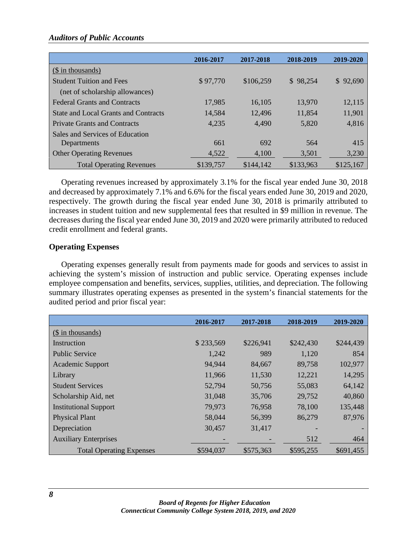#### *Auditors of Public Accounts*

|                                      | 2016-2017 | 2017-2018 | 2018-2019 | 2019-2020 |
|--------------------------------------|-----------|-----------|-----------|-----------|
| (\\$ in thousands)                   |           |           |           |           |
| <b>Student Tuition and Fees</b>      | \$97,770  | \$106,259 | \$98,254  | \$92,690  |
| (net of scholarship allowances)      |           |           |           |           |
| <b>Federal Grants and Contracts</b>  | 17.985    | 16.105    | 13.970    | 12,115    |
| State and Local Grants and Contracts | 14.584    | 12,496    | 11,854    | 11,901    |
| <b>Private Grants and Contracts</b>  | 4,235     | 4,490     | 5,820     | 4,816     |
| Sales and Services of Education      |           |           |           |           |
| Departments                          | 661       | 692       | 564       | 415       |
| <b>Other Operating Revenues</b>      | 4,522     | 4,100     | 3,501     | 3,230     |
| <b>Total Operating Revenues</b>      | \$139,757 | \$144,142 | \$133,963 | \$125,167 |

Operating revenues increased by approximately 3.1% for the fiscal year ended June 30, 2018 and decreased by approximately 7.1% and 6.6% for the fiscal years ended June 30, 2019 and 2020, respectively. The growth during the fiscal year ended June 30, 2018 is primarily attributed to increases in student tuition and new supplemental fees that resulted in \$9 million in revenue. The decreases during the fiscal year ended June 30, 2019 and 2020 were primarily attributed to reduced credit enrollment and federal grants.

#### **Operating Expenses**

Operating expenses generally result from payments made for goods and services to assist in achieving the system's mission of instruction and public service. Operating expenses include employee compensation and benefits, services, supplies, utilities, and depreciation. The following summary illustrates operating expenses as presented in the system's financial statements for the audited period and prior fiscal year:

|                                 | 2016-2017 | 2017-2018 | 2018-2019 | 2019-2020 |
|---------------------------------|-----------|-----------|-----------|-----------|
| (\$ in thousands)               |           |           |           |           |
| Instruction                     | \$233,569 | \$226,941 | \$242,430 | \$244,439 |
| <b>Public Service</b>           | 1,242     | 989       | 1,120     | 854       |
| <b>Academic Support</b>         | 94,944    | 84,667    | 89,758    | 102,977   |
| Library                         | 11,966    | 11,530    | 12,221    | 14,295    |
| <b>Student Services</b>         | 52,794    | 50,756    | 55,083    | 64,142    |
| Scholarship Aid, net            | 31,048    | 35,706    | 29,752    | 40,860    |
| <b>Institutional Support</b>    | 79,973    | 76,958    | 78,100    | 135,448   |
| <b>Physical Plant</b>           | 58,044    | 56,399    | 86,279    | 87,976    |
| Depreciation                    | 30,457    | 31,417    |           |           |
| <b>Auxiliary Enterprises</b>    |           |           | 512       | 464       |
| <b>Total Operating Expenses</b> | \$594,037 | \$575,363 | \$595,255 | \$691,455 |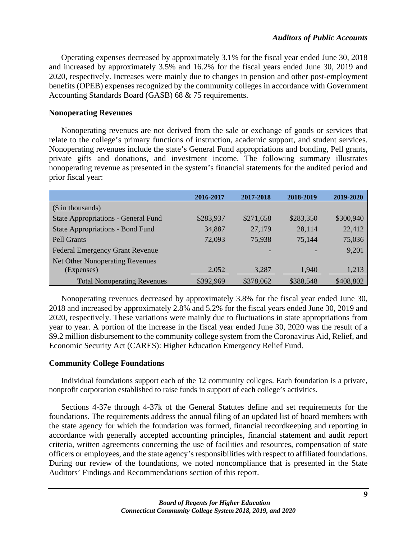Operating expenses decreased by approximately 3.1% for the fiscal year ended June 30, 2018 and increased by approximately 3.5% and 16.2% for the fiscal years ended June 30, 2019 and 2020, respectively. Increases were mainly due to changes in pension and other post-employment benefits (OPEB) expenses recognized by the community colleges in accordance with Government Accounting Standards Board (GASB) 68 & 75 requirements.

## **Nonoperating Revenues**

Nonoperating revenues are not derived from the sale or exchange of goods or services that relate to the college's primary functions of instruction, academic support, and student services. Nonoperating revenues include the state's General Fund appropriations and bonding, Pell grants, private gifts and donations, and investment income. The following summary illustrates nonoperating revenue as presented in the system's financial statements for the audited period and prior fiscal year:

|                                            | 2016-2017 | 2017-2018 | 2018-2019 | 2019-2020 |
|--------------------------------------------|-----------|-----------|-----------|-----------|
| $(\$$ in thousands)                        |           |           |           |           |
| <b>State Appropriations - General Fund</b> | \$283,937 | \$271,658 | \$283,350 | \$300,940 |
| <b>State Appropriations - Bond Fund</b>    | 34,887    | 27,179    | 28,114    | 22,412    |
| <b>Pell Grants</b>                         | 72,093    | 75,938    | 75,144    | 75,036    |
| Federal Emergency Grant Revenue            |           |           |           | 9,201     |
| Net Other Nonoperating Revenues            |           |           |           |           |
| (Expenses)                                 | 2,052     | 3,287     | 1,940     | 1,213     |
| <b>Total Nonoperating Revenues</b>         | \$392,969 | \$378,062 | \$388,548 | \$408,802 |

Nonoperating revenues decreased by approximately 3.8% for the fiscal year ended June 30, 2018 and increased by approximately 2.8% and 5.2% for the fiscal years ended June 30, 2019 and 2020, respectively. These variations were mainly due to fluctuations in state appropriations from year to year. A portion of the increase in the fiscal year ended June 30, 2020 was the result of a \$9.2 million disbursement to the community college system from the Coronavirus Aid, Relief, and Economic Security Act (CARES): Higher Education Emergency Relief Fund.

## **Community College Foundations**

Individual foundations support each of the 12 community colleges. Each foundation is a private, nonprofit corporation established to raise funds in support of each college's activities.

Sections 4-37e through 4-37k of the General Statutes define and set requirements for the foundations. The requirements address the annual filing of an updated list of board members with the state agency for which the foundation was formed, financial recordkeeping and reporting in accordance with generally accepted accounting principles, financial statement and audit report criteria, written agreements concerning the use of facilities and resources, compensation of state officers or employees, and the state agency's responsibilities with respect to affiliated foundations. During our review of the foundations, we noted noncompliance that is presented in the State Auditors' Findings and Recommendations section of this report.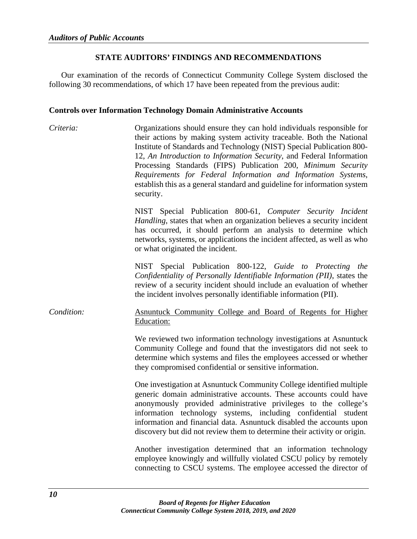## **STATE AUDITORS' FINDINGS AND RECOMMENDATIONS**

Our examination of the records of Connecticut Community College System disclosed the following 30 recommendations, of which 17 have been repeated from the previous audit:

#### **Controls over Information Technology Domain Administrative Accounts**

*Criteria:* Organizations should ensure they can hold individuals responsible for their actions by making system activity traceable. Both the National Institute of Standards and Technology (NIST) Special Publication 800- 12, *An Introduction to Information Security*, and Federal Information Processing Standards (FIPS) Publication 200, *Minimum Security Requirements for Federal Information and Information Systems*, establish this as a general standard and guideline for information system security.

> NIST Special Publication 800-61, *Computer Security Incident Handling*, states that when an organization believes a security incident has occurred, it should perform an analysis to determine which networks, systems, or applications the incident affected, as well as who or what originated the incident.

> NIST Special Publication 800-122, *Guide to Protecting the Confidentiality of Personally Identifiable Information (PII)*, states the review of a security incident should include an evaluation of whether the incident involves personally identifiable information (PII).

## *Condition:* Asnuntuck Community College and Board of Regents for Higher Education:

We reviewed two information technology investigations at Asnuntuck Community College and found that the investigators did not seek to determine which systems and files the employees accessed or whether they compromised confidential or sensitive information.

One investigation at Asnuntuck Community College identified multiple generic domain administrative accounts. These accounts could have anonymously provided administrative privileges to the college's information technology systems, including confidential student information and financial data. Asnuntuck disabled the accounts upon discovery but did not review them to determine their activity or origin.

Another investigation determined that an information technology employee knowingly and willfully violated CSCU policy by remotely connecting to CSCU systems. The employee accessed the director of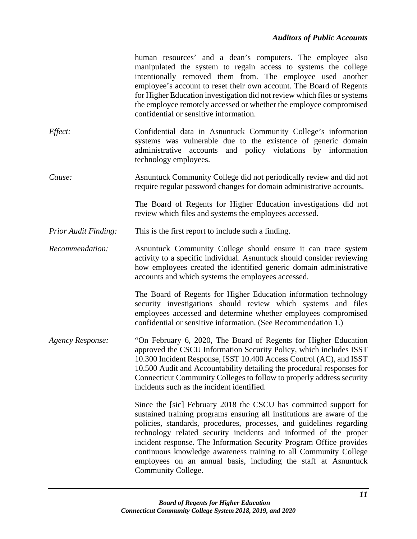|                             | human resources' and a dean's computers. The employee also<br>manipulated the system to regain access to systems the college<br>intentionally removed them from. The employee used another<br>employee's account to reset their own account. The Board of Regents<br>for Higher Education investigation did not review which files or systems<br>the employee remotely accessed or whether the employee compromised<br>confidential or sensitive information.                                                             |
|-----------------------------|---------------------------------------------------------------------------------------------------------------------------------------------------------------------------------------------------------------------------------------------------------------------------------------------------------------------------------------------------------------------------------------------------------------------------------------------------------------------------------------------------------------------------|
| Effect:                     | Confidential data in Asnuntuck Community College's information<br>systems was vulnerable due to the existence of generic domain<br>administrative accounts and policy violations by information<br>technology employees.                                                                                                                                                                                                                                                                                                  |
| Cause:                      | Asnuntuck Community College did not periodically review and did not<br>require regular password changes for domain administrative accounts.                                                                                                                                                                                                                                                                                                                                                                               |
|                             | The Board of Regents for Higher Education investigations did not<br>review which files and systems the employees accessed.                                                                                                                                                                                                                                                                                                                                                                                                |
| <b>Prior Audit Finding:</b> | This is the first report to include such a finding.                                                                                                                                                                                                                                                                                                                                                                                                                                                                       |
| Recommendation:             | Asnuntuck Community College should ensure it can trace system<br>activity to a specific individual. Asnuntuck should consider reviewing<br>how employees created the identified generic domain administrative<br>accounts and which systems the employees accessed.                                                                                                                                                                                                                                                       |
|                             | The Board of Regents for Higher Education information technology<br>security investigations should review which systems and files<br>employees accessed and determine whether employees compromised<br>confidential or sensitive information. (See Recommendation 1.)                                                                                                                                                                                                                                                     |
| <b>Agency Response:</b>     | "On February 6, 2020, The Board of Regents for Higher Education<br>approved the CSCU Information Security Policy, which includes ISST<br>10.300 Incident Response, ISST 10.400 Access Control (AC), and ISST<br>10.500 Audit and Accountability detailing the procedural responses for<br>Connecticut Community Colleges to follow to properly address security<br>incidents such as the incident identified.                                                                                                             |
|                             | Since the [sic] February 2018 the CSCU has committed support for<br>sustained training programs ensuring all institutions are aware of the<br>policies, standards, procedures, processes, and guidelines regarding<br>technology related security incidents and informed of the proper<br>incident response. The Information Security Program Office provides<br>continuous knowledge awareness training to all Community College<br>employees on an annual basis, including the staff at Asnuntuck<br>Community College. |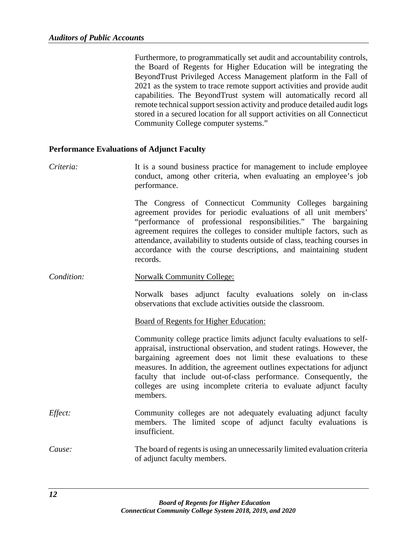Furthermore, to programmatically set audit and accountability controls, the Board of Regents for Higher Education will be integrating the BeyondTrust Privileged Access Management platform in the Fall of 2021 as the system to trace remote support activities and provide audit capabilities. The BeyondTrust system will automatically record all remote technical support session activity and produce detailed audit logs stored in a secured location for all support activities on all Connecticut Community College computer systems."

#### **Performance Evaluations of Adjunct Faculty**

*Criteria:* It is a sound business practice for management to include employee conduct, among other criteria, when evaluating an employee's job performance.

> The Congress of Connecticut Community Colleges bargaining agreement provides for periodic evaluations of all unit members' "performance of professional responsibilities." The bargaining agreement requires the colleges to consider multiple factors, such as attendance, availability to students outside of class, teaching courses in accordance with the course descriptions, and maintaining student records.

**Condition:** Norwalk Community College:

Norwalk bases adjunct faculty evaluations solely on in-class observations that exclude activities outside the classroom.

#### Board of Regents for Higher Education:

Community college practice limits adjunct faculty evaluations to selfappraisal, instructional observation, and student ratings. However, the bargaining agreement does not limit these evaluations to these measures. In addition, the agreement outlines expectations for adjunct faculty that include out-of-class performance. Consequently, the colleges are using incomplete criteria to evaluate adjunct faculty members.

- *Effect:* Community colleges are not adequately evaluating adjunct faculty members. The limited scope of adjunct faculty evaluations is insufficient.
- *Cause:* The board of regents is using an unnecessarily limited evaluation criteria of adjunct faculty members.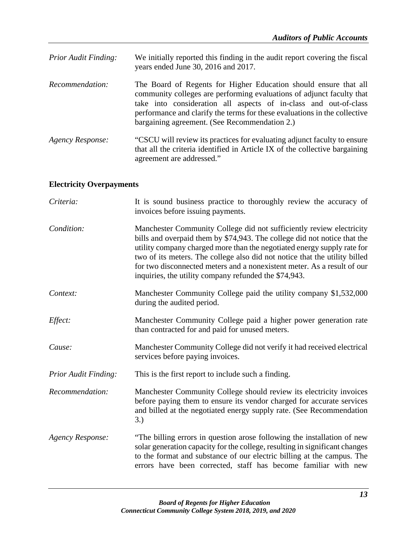| <b>Prior Audit Finding:</b> | We initially reported this finding in the audit report covering the fiscal<br>years ended June 30, 2016 and 2017.                                                                                                                                                                                                                           |
|-----------------------------|---------------------------------------------------------------------------------------------------------------------------------------------------------------------------------------------------------------------------------------------------------------------------------------------------------------------------------------------|
| Recommendation:             | The Board of Regents for Higher Education should ensure that all<br>community colleges are performing evaluations of adjunct faculty that<br>take into consideration all aspects of in-class and out-of-class<br>performance and clarify the terms for these evaluations in the collective<br>bargaining agreement. (See Recommendation 2.) |
| Agency Response:            | "CSCU will review its practices for evaluating adjunct faculty to ensure<br>that all the criteria identified in Article IX of the collective bargaining<br>agreement are addressed."                                                                                                                                                        |

# **Electricity Overpayments**

| Criteria:                   | It is sound business practice to thoroughly review the accuracy of<br>invoices before issuing payments.                                                                                                                                                                                                                                                                                                                                       |  |
|-----------------------------|-----------------------------------------------------------------------------------------------------------------------------------------------------------------------------------------------------------------------------------------------------------------------------------------------------------------------------------------------------------------------------------------------------------------------------------------------|--|
| Condition:                  | Manchester Community College did not sufficiently review electricity<br>bills and overpaid them by \$74,943. The college did not notice that the<br>utility company charged more than the negotiated energy supply rate for<br>two of its meters. The college also did not notice that the utility billed<br>for two disconnected meters and a nonexistent meter. As a result of our<br>inquiries, the utility company refunded the \$74,943. |  |
| Context:                    | Manchester Community College paid the utility company \$1,532,000<br>during the audited period.                                                                                                                                                                                                                                                                                                                                               |  |
| Effect:                     | Manchester Community College paid a higher power generation rate<br>than contracted for and paid for unused meters.                                                                                                                                                                                                                                                                                                                           |  |
| Cause:                      | Manchester Community College did not verify it had received electrical<br>services before paying invoices.                                                                                                                                                                                                                                                                                                                                    |  |
| <b>Prior Audit Finding:</b> | This is the first report to include such a finding.                                                                                                                                                                                                                                                                                                                                                                                           |  |
| Recommendation:             | Manchester Community College should review its electricity invoices<br>before paying them to ensure its vendor charged for accurate services<br>and billed at the negotiated energy supply rate. (See Recommendation<br>3.)                                                                                                                                                                                                                   |  |
| <b>Agency Response:</b>     | "The billing errors in question arose following the installation of new<br>solar generation capacity for the college, resulting in significant changes<br>to the format and substance of our electric billing at the campus. The<br>errors have been corrected, staff has become familiar with new                                                                                                                                            |  |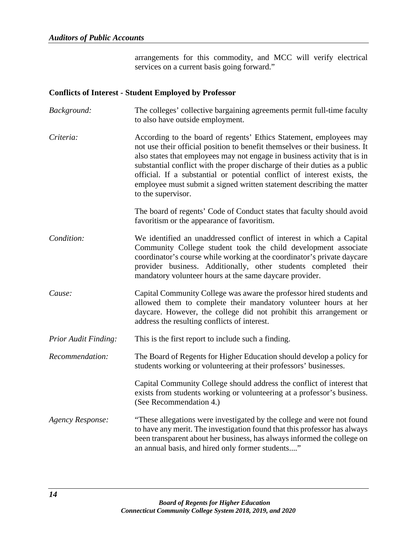arrangements for this commodity, and MCC will verify electrical services on a current basis going forward."

## **Conflicts of Interest - Student Employed by Professor**

- *Background:* The colleges' collective bargaining agreements permit full-time faculty to also have outside employment.
- *Criteria:* According to the board of regents' Ethics Statement, employees may not use their official position to benefit themselves or their business. It also states that employees may not engage in business activity that is in substantial conflict with the proper discharge of their duties as a public official. If a substantial or potential conflict of interest exists, the employee must submit a signed written statement describing the matter to the supervisor.

The board of regents' Code of Conduct states that faculty should avoid favoritism or the appearance of favoritism.

- *Condition:* We identified an unaddressed conflict of interest in which a Capital Community College student took the child development associate coordinator's course while working at the coordinator's private daycare provider business. Additionally, other students completed their mandatory volunteer hours at the same daycare provider.
- *Cause:* Capital Community College was aware the professor hired students and allowed them to complete their mandatory volunteer hours at her daycare. However, the college did not prohibit this arrangement or address the resulting conflicts of interest.
- *Prior Audit Finding:* This is the first report to include such a finding.
- *Recommendation:* The Board of Regents for Higher Education should develop a policy for students working or volunteering at their professors' businesses.

Capital Community College should address the conflict of interest that exists from students working or volunteering at a professor's business. (See Recommendation 4.)

*Agency Response:* "These allegations were investigated by the college and were not found to have any merit. The investigation found that this professor has always been transparent about her business, has always informed the college on an annual basis, and hired only former students...."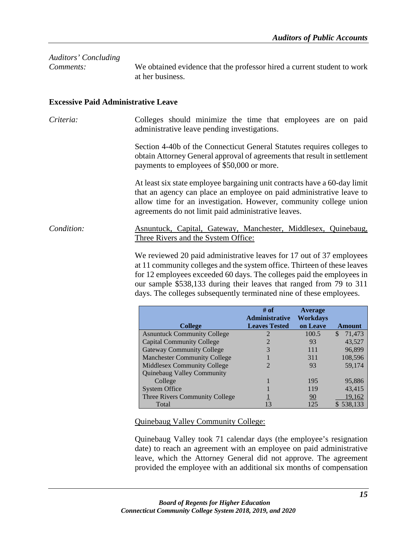| Comments:                                  | We obtained evidence that the professor hired a current student to work<br>at her business.                                                                                                                                                                                   |
|--------------------------------------------|-------------------------------------------------------------------------------------------------------------------------------------------------------------------------------------------------------------------------------------------------------------------------------|
| <b>Excessive Paid Administrative Leave</b> |                                                                                                                                                                                                                                                                               |
| Criteria:                                  | Colleges should minimize the time that employees are on paid<br>administrative leave pending investigations.                                                                                                                                                                  |
|                                            | Section 4-40b of the Connecticut General Statutes requires colleges to<br>obtain Attorney General approval of agreements that result in settlement<br>payments to employees of \$50,000 or more.                                                                              |
|                                            | At least six state employee bargaining unit contracts have a 60-day limit<br>that an agency can place an employee on paid administrative leave to<br>allow time for an investigation. However, community college union<br>agreements do not limit paid administrative leaves. |
| Condition:                                 | <u>Asnuntuck, Capital, Gateway, Manchester, Middlesex, Quinebaug,</u><br>Three Rivers and the System Office:                                                                                                                                                                  |
|                                            | We reviewed 20 paid administrative leaves for 17 out of 37 employees<br>at 11 community colleges and the system office. Thirteen of these leaves                                                                                                                              |

*Auditors' Concluding* 

for 12 employees exceeded 60 days. The colleges paid the employees in our sample \$538,133 during their leaves that ranged from 79 to 311 days. The colleges subsequently terminated nine of these employees.

|                                     | $#$ of                | <b>Average</b> |               |
|-------------------------------------|-----------------------|----------------|---------------|
|                                     | <b>Administrative</b> | Workdays       |               |
| <b>College</b>                      | <b>Leaves Tested</b>  | on Leave       | <b>Amount</b> |
| <b>Asnuntuck Community College</b>  | 2                     | 100.5          | 71,473<br>S   |
| <b>Capital Community College</b>    |                       | 93             | 43,527        |
| <b>Gateway Community College</b>    | 3                     | 111            | 96,899        |
| <b>Manchester Community College</b> |                       | 311            | 108,596       |
| <b>Middlesex Community College</b>  |                       | 93             | 59,174        |
| Quinebaug Valley Community          |                       |                |               |
| College                             |                       | 195            | 95,886        |
| <b>System Office</b>                |                       | 119            | 43,415        |
| Three Rivers Community College      |                       | 90             | 19,162        |
| Total                               | 13                    | 125            | \$538,133     |

Quinebaug Valley Community College:

Quinebaug Valley took 71 calendar days (the employee's resignation date) to reach an agreement with an employee on paid administrative leave, which the Attorney General did not approve. The agreement provided the employee with an additional six months of compensation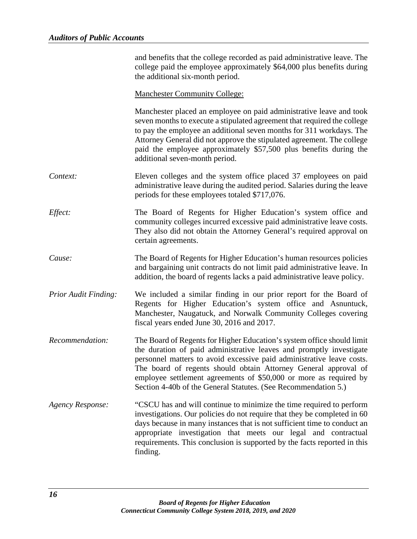|                      | and benefits that the college recorded as paid administrative leave. The<br>college paid the employee approximately \$64,000 plus benefits during<br>the additional six-month period.                                                                                                                                                                                                                                            |
|----------------------|----------------------------------------------------------------------------------------------------------------------------------------------------------------------------------------------------------------------------------------------------------------------------------------------------------------------------------------------------------------------------------------------------------------------------------|
|                      | <b>Manchester Community College:</b>                                                                                                                                                                                                                                                                                                                                                                                             |
|                      | Manchester placed an employee on paid administrative leave and took<br>seven months to execute a stipulated agreement that required the college<br>to pay the employee an additional seven months for 311 workdays. The<br>Attorney General did not approve the stipulated agreement. The college<br>paid the employee approximately \$57,500 plus benefits during the<br>additional seven-month period.                         |
| Context:             | Eleven colleges and the system office placed 37 employees on paid<br>administrative leave during the audited period. Salaries during the leave<br>periods for these employees totaled \$717,076.                                                                                                                                                                                                                                 |
| Effect:              | The Board of Regents for Higher Education's system office and<br>community colleges incurred excessive paid administrative leave costs.<br>They also did not obtain the Attorney General's required approval on<br>certain agreements.                                                                                                                                                                                           |
| Cause:               | The Board of Regents for Higher Education's human resources policies<br>and bargaining unit contracts do not limit paid administrative leave. In<br>addition, the board of regents lacks a paid administrative leave policy.                                                                                                                                                                                                     |
| Prior Audit Finding: | We included a similar finding in our prior report for the Board of<br>Regents for Higher Education's system office and Asnuntuck,<br>Manchester, Naugatuck, and Norwalk Community Colleges covering<br>fiscal years ended June 30, 2016 and 2017.                                                                                                                                                                                |
| Recommendation:      | The Board of Regents for Higher Education's system office should limit<br>the duration of paid administrative leaves and promptly investigate<br>personnel matters to avoid excessive paid administrative leave costs.<br>The board of regents should obtain Attorney General approval of<br>employee settlement agreements of \$50,000 or more as required by<br>Section 4-40b of the General Statutes. (See Recommendation 5.) |
| Agency Response:     | "CSCU has and will continue to minimize the time required to perform<br>investigations. Our policies do not require that they be completed in 60<br>days because in many instances that is not sufficient time to conduct an<br>appropriate investigation that meets our legal and contractual<br>requirements. This conclusion is supported by the facts reported in this<br>finding.                                           |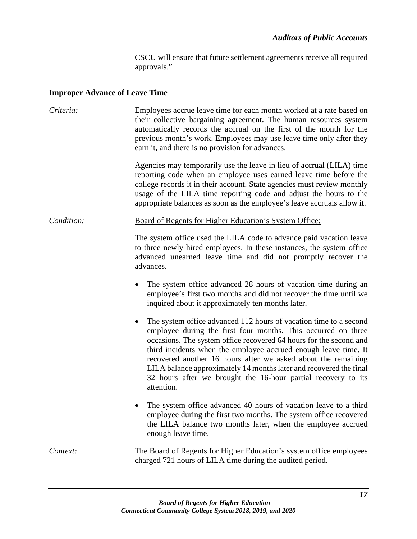CSCU will ensure that future settlement agreements receive all required approvals."

## **Improper Advance of Leave Time**

*Criteria:* Employees accrue leave time for each month worked at a rate based on their collective bargaining agreement. The human resources system automatically records the accrual on the first of the month for the previous month's work. Employees may use leave time only after they earn it, and there is no provision for advances. Agencies may temporarily use the leave in lieu of accrual (LILA) time reporting code when an employee uses earned leave time before the college records it in their account. State agencies must review monthly usage of the LILA time reporting code and adjust the hours to the appropriate balances as soon as the employee's leave accruals allow it. *Condition:* Board of Regents for Higher Education's System Office: The system office used the LILA code to advance paid vacation leave to three newly hired employees. In these instances, the system office advanced unearned leave time and did not promptly recover the advances. • The system office advanced 28 hours of vacation time during an employee's first two months and did not recover the time until we inquired about it approximately ten months later. The system office advanced 112 hours of vacation time to a second employee during the first four months. This occurred on three occasions. The system office recovered 64 hours for the second and third incidents when the employee accrued enough leave time. It recovered another 16 hours after we asked about the remaining LILA balance approximately 14 months later and recovered the final 32 hours after we brought the 16-hour partial recovery to its attention. • The system office advanced 40 hours of vacation leave to a third employee during the first two months. The system office recovered the LILA balance two months later, when the employee accrued enough leave time. *Context:* The Board of Regents for Higher Education's system office employees charged 721 hours of LILA time during the audited period.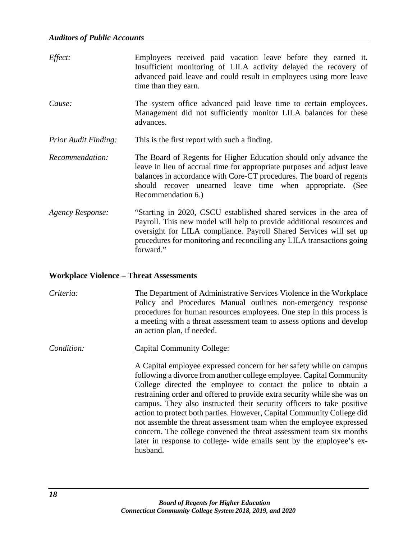| Effect:                     | Employees received paid vacation leave before they earned it.<br>Insufficient monitoring of LILA activity delayed the recovery of<br>advanced paid leave and could result in employees using more leave<br>time than they earn.                                                                         |
|-----------------------------|---------------------------------------------------------------------------------------------------------------------------------------------------------------------------------------------------------------------------------------------------------------------------------------------------------|
| Cause:                      | The system office advanced paid leave time to certain employees.<br>Management did not sufficiently monitor LILA balances for these<br>advances.                                                                                                                                                        |
| <b>Prior Audit Finding:</b> | This is the first report with such a finding.                                                                                                                                                                                                                                                           |
| Recommendation:             | The Board of Regents for Higher Education should only advance the<br>leave in lieu of accrual time for appropriate purposes and adjust leave<br>balances in accordance with Core-CT procedures. The board of regents<br>should recover unearned leave time when appropriate. (See<br>Recommendation 6.) |
| <b>Agency Response:</b>     | "Starting in 2020, CSCU established shared services in the area of<br>Payroll. This new model will help to provide additional resources and<br>oversight for LILA compliance. Payroll Shared Services will set up<br>procedures for monitoring and reconciling any LILA transactions going<br>forward." |

#### **Workplace Violence – Threat Assessments**

*Criteria:* The Department of Administrative Services Violence in the Workplace Policy and Procedures Manual outlines non-emergency response procedures for human resources employees. One step in this process is a meeting with a threat assessment team to assess options and develop an action plan, if needed.

*Condition:* Capital Community College:

A Capital employee expressed concern for her safety while on campus following a divorce from another college employee. Capital Community College directed the employee to contact the police to obtain a restraining order and offered to provide extra security while she was on campus. They also instructed their security officers to take positive action to protect both parties. However, Capital Community College did not assemble the threat assessment team when the employee expressed concern. The college convened the threat assessment team six months later in response to college- wide emails sent by the employee's exhusband.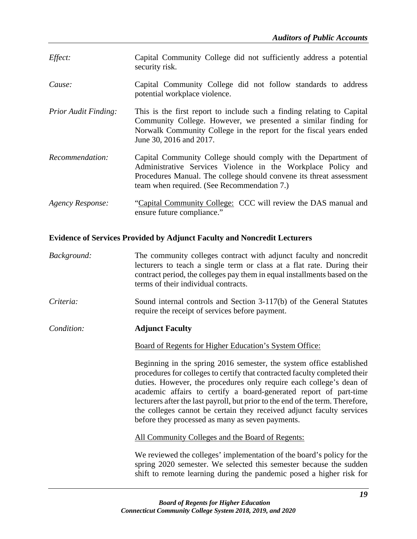- *Effect:* Capital Community College did not sufficiently address a potential security risk.
- *Cause:* Capital Community College did not follow standards to address potential workplace violence.
- *Prior Audit Finding:* This is the first report to include such a finding relating to Capital Community College. However, we presented a similar finding for Norwalk Community College in the report for the fiscal years ended June 30, 2016 and 2017.
- *Recommendation:* Capital Community College should comply with the Department of Administrative Services Violence in the Workplace Policy and Procedures Manual. The college should convene its threat assessment team when required. (See Recommendation 7.)
- *Agency Response:* "Capital Community College: CCC will review the DAS manual and ensure future compliance."

## **Evidence of Services Provided by Adjunct Faculty and Noncredit Lecturers**

- *Background:* The community colleges contract with adjunct faculty and noncredit lecturers to teach a single term or class at a flat rate. During their contract period, the colleges pay them in equal installments based on the terms of their individual contracts.
- *Criteria:* Sound internal controls and Section 3-117(b) of the General Statutes require the receipt of services before payment.

*Condition:* **Adjunct Faculty**

Board of Regents for Higher Education's System Office:

Beginning in the spring 2016 semester, the system office established procedures for colleges to certify that contracted faculty completed their duties. However, the procedures only require each college's dean of academic affairs to certify a board-generated report of part-time lecturers after the last payroll, but prior to the end of the term. Therefore, the colleges cannot be certain they received adjunct faculty services before they processed as many as seven payments.

All Community Colleges and the Board of Regents:

We reviewed the colleges' implementation of the board's policy for the spring 2020 semester. We selected this semester because the sudden shift to remote learning during the pandemic posed a higher risk for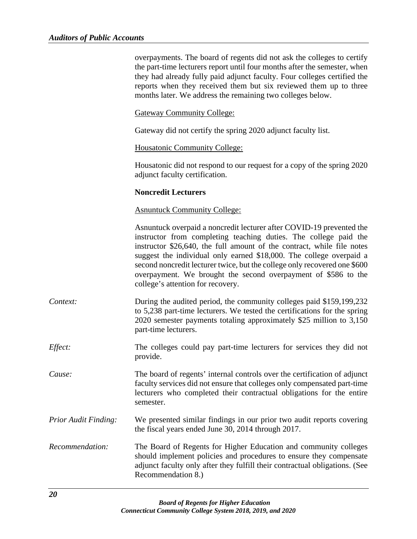|                      | overpayments. The board of regents did not ask the colleges to certify<br>the part-time lecturers report until four months after the semester, when<br>they had already fully paid adjunct faculty. Four colleges certified the<br>reports when they received them but six reviewed them up to three<br>months later. We address the remaining two colleges below.                                                                                                            |
|----------------------|-------------------------------------------------------------------------------------------------------------------------------------------------------------------------------------------------------------------------------------------------------------------------------------------------------------------------------------------------------------------------------------------------------------------------------------------------------------------------------|
|                      | <b>Gateway Community College:</b>                                                                                                                                                                                                                                                                                                                                                                                                                                             |
|                      | Gateway did not certify the spring 2020 adjunct faculty list.                                                                                                                                                                                                                                                                                                                                                                                                                 |
|                      | <b>Housatonic Community College:</b>                                                                                                                                                                                                                                                                                                                                                                                                                                          |
|                      | Housatonic did not respond to our request for a copy of the spring 2020<br>adjunct faculty certification.                                                                                                                                                                                                                                                                                                                                                                     |
|                      | <b>Noncredit Lecturers</b>                                                                                                                                                                                                                                                                                                                                                                                                                                                    |
|                      | <b>Asnuntuck Community College:</b>                                                                                                                                                                                                                                                                                                                                                                                                                                           |
|                      | Asnuntuck overpaid a noncredit lecturer after COVID-19 prevented the<br>instructor from completing teaching duties. The college paid the<br>instructor \$26,640, the full amount of the contract, while file notes<br>suggest the individual only earned \$18,000. The college overpaid a<br>second noncredit lecturer twice, but the college only recovered one \$600<br>overpayment. We brought the second overpayment of \$586 to the<br>college's attention for recovery. |
| Context:             | During the audited period, the community colleges paid \$159,199,232<br>to 5,238 part-time lecturers. We tested the certifications for the spring<br>2020 semester payments totaling approximately \$25 million to 3,150<br>part-time lecturers.                                                                                                                                                                                                                              |
| Effect:              | The colleges could pay part-time lecturers for services they did not<br>provide.                                                                                                                                                                                                                                                                                                                                                                                              |
| Cause:               | The board of regents' internal controls over the certification of adjunct<br>faculty services did not ensure that colleges only compensated part-time<br>lecturers who completed their contractual obligations for the entire<br>semester.                                                                                                                                                                                                                                    |
| Prior Audit Finding: | We presented similar findings in our prior two audit reports covering<br>the fiscal years ended June 30, 2014 through 2017.                                                                                                                                                                                                                                                                                                                                                   |
| Recommendation:      | The Board of Regents for Higher Education and community colleges<br>should implement policies and procedures to ensure they compensate<br>adjunct faculty only after they fulfill their contractual obligations. (See<br>Recommendation 8.)                                                                                                                                                                                                                                   |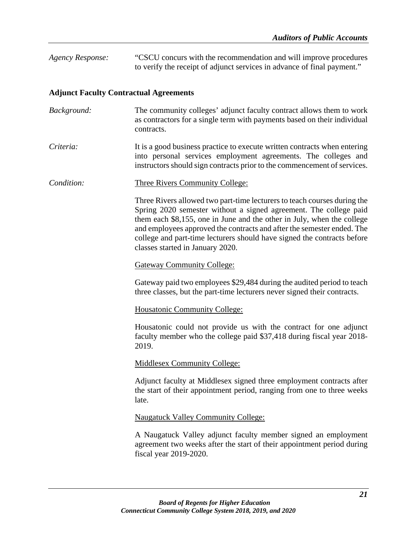*Agency Response:* "CSCU concurs with the recommendation and will improve procedures to verify the receipt of adjunct services in advance of final payment."

## **Adjunct Faculty Contractual Agreements**

- *Background:* The community colleges' adjunct faculty contract allows them to work as contractors for a single term with payments based on their individual contracts.
- *Criteria:* It is a good business practice to execute written contracts when entering into personal services employment agreements. The colleges and instructors should sign contracts prior to the commencement of services.
- *Condition:* Three Rivers Community College:

Three Rivers allowed two part-time lecturers to teach courses during the Spring 2020 semester without a signed agreement. The college paid them each \$8,155, one in June and the other in July, when the college and employees approved the contracts and after the semester ended. The college and part-time lecturers should have signed the contracts before classes started in January 2020.

## Gateway Community College:

Gateway paid two employees \$29,484 during the audited period to teach three classes, but the part-time lecturers never signed their contracts.

#### Housatonic Community College:

Housatonic could not provide us with the contract for one adjunct faculty member who the college paid \$37,418 during fiscal year 2018- 2019.

#### Middlesex Community College:

Adjunct faculty at Middlesex signed three employment contracts after the start of their appointment period, ranging from one to three weeks late.

#### Naugatuck Valley Community College:

A Naugatuck Valley adjunct faculty member signed an employment agreement two weeks after the start of their appointment period during fiscal year 2019-2020.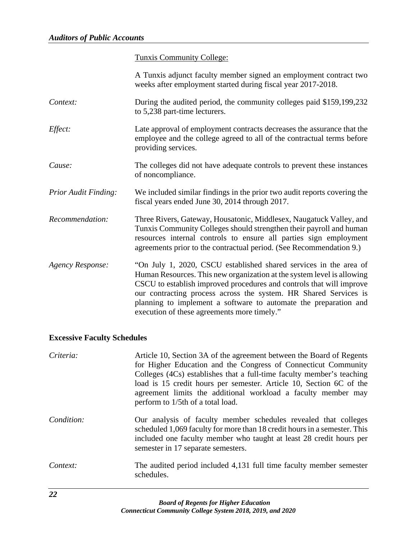Tunxis Community College:

|                             | A Tunxis adjunct faculty member signed an employment contract two<br>weeks after employment started during fiscal year 2017-2018.                                                                                                                                                                                                                                                                          |
|-----------------------------|------------------------------------------------------------------------------------------------------------------------------------------------------------------------------------------------------------------------------------------------------------------------------------------------------------------------------------------------------------------------------------------------------------|
| Context:                    | During the audited period, the community colleges paid \$159,199,232<br>to 5,238 part-time lecturers.                                                                                                                                                                                                                                                                                                      |
| Effect:                     | Late approval of employment contracts decreases the assurance that the<br>employee and the college agreed to all of the contractual terms before<br>providing services.                                                                                                                                                                                                                                    |
| Cause:                      | The colleges did not have adequate controls to prevent these instances<br>of noncompliance.                                                                                                                                                                                                                                                                                                                |
| <b>Prior Audit Finding:</b> | We included similar findings in the prior two audit reports covering the<br>fiscal years ended June 30, 2014 through 2017.                                                                                                                                                                                                                                                                                 |
| Recommendation:             | Three Rivers, Gateway, Housatonic, Middlesex, Naugatuck Valley, and<br>Tunxis Community Colleges should strengthen their payroll and human<br>resources internal controls to ensure all parties sign employment<br>agreements prior to the contractual period. (See Recommendation 9.)                                                                                                                     |
| <b>Agency Response:</b>     | "On July 1, 2020, CSCU established shared services in the area of<br>Human Resources. This new organization at the system level is allowing<br>CSCU to establish improved procedures and controls that will improve<br>our contracting process across the system. HR Shared Services is<br>planning to implement a software to automate the preparation and<br>execution of these agreements more timely." |

# **Excessive Faculty Schedules**

| Criteria:  | Article 10, Section 3A of the agreement between the Board of Regents<br>for Higher Education and the Congress of Connecticut Community<br>Colleges (4Cs) establishes that a full-time faculty member's teaching<br>load is 15 credit hours per semester. Article 10, Section 6C of the<br>agreement limits the additional workload a faculty member may<br>perform to 1/5th of a total load. |
|------------|----------------------------------------------------------------------------------------------------------------------------------------------------------------------------------------------------------------------------------------------------------------------------------------------------------------------------------------------------------------------------------------------|
| Condition: | Our analysis of faculty member schedules revealed that colleges<br>scheduled 1,069 faculty for more than 18 credit hours in a semester. This<br>included one faculty member who taught at least 28 credit hours per<br>semester in 17 separate semesters.                                                                                                                                    |
| Context:   | The audited period included 4,131 full time faculty member semester<br>schedules.                                                                                                                                                                                                                                                                                                            |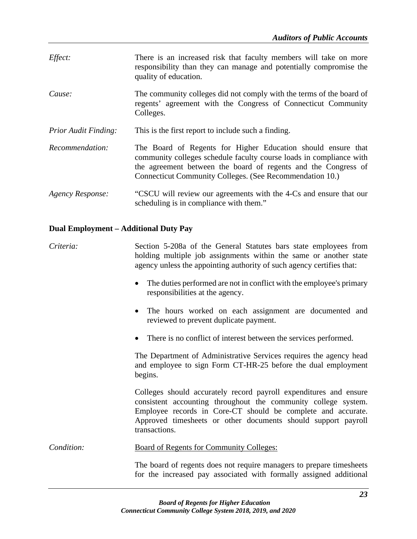*Effect:* There is an increased risk that faculty members will take on more responsibility than they can manage and potentially compromise the quality of education. *Cause:* The community colleges did not comply with the terms of the board of regents' agreement with the Congress of Connecticut Community Colleges. *Prior Audit Finding:* This is the first report to include such a finding. *Recommendation:* The Board of Regents for Higher Education should ensure that community colleges schedule faculty course loads in compliance with the agreement between the board of regents and the Congress of Connecticut Community Colleges. (See Recommendation 10.) *Agency Response:* "CSCU will review our agreements with the 4-Cs and ensure that our scheduling is in compliance with them."

## **Dual Employment – Additional Duty Pay**

*Criteria:* Section 5-208a of the General Statutes bars state employees from holding multiple job assignments within the same or another state agency unless the appointing authority of such agency certifies that:

- The duties performed are not in conflict with the employee's primary responsibilities at the agency.
- The hours worked on each assignment are documented and reviewed to prevent duplicate payment.
- There is no conflict of interest between the services performed.

The Department of Administrative Services requires the agency head and employee to sign Form CT-HR-25 before the dual employment begins.

Colleges should accurately record payroll expenditures and ensure consistent accounting throughout the community college system. Employee records in Core-CT should be complete and accurate. Approved timesheets or other documents should support payroll transactions.

*Condition:* Board of Regents for Community Colleges:

The board of regents does not require managers to prepare timesheets for the increased pay associated with formally assigned additional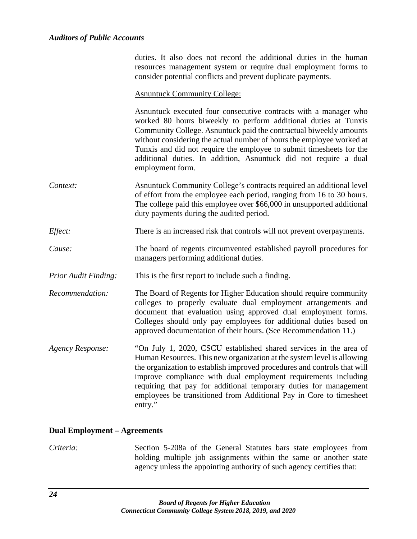duties. It also does not record the additional duties in the human resources management system or require dual employment forms to consider potential conflicts and prevent duplicate payments.

#### Asnuntuck Community College:

Asnuntuck executed four consecutive contracts with a manager who worked 80 hours biweekly to perform additional duties at Tunxis Community College. Asnuntuck paid the contractual biweekly amounts without considering the actual number of hours the employee worked at Tunxis and did not require the employee to submit timesheets for the additional duties. In addition, Asnuntuck did not require a dual employment form. *Context:* Asnuntuck Community College's contracts required an additional level of effort from the employee each period, ranging from 16 to 30 hours. The college paid this employee over \$66,000 in unsupported additional duty payments during the audited period. *Effect:* There is an increased risk that controls will not prevent overpayments. *Cause:* The board of regents circumvented established payroll procedures for managers performing additional duties. *Prior Audit Finding:* This is the first report to include such a finding. *Recommendation:* The Board of Regents for Higher Education should require community colleges to properly evaluate dual employment arrangements and document that evaluation using approved dual employment forms. Colleges should only pay employees for additional duties based on approved documentation of their hours. (See Recommendation 11.)

*Agency Response:* "On July 1, 2020, CSCU established shared services in the area of Human Resources. This new organization at the system level is allowing the organization to establish improved procedures and controls that will improve compliance with dual employment requirements including requiring that pay for additional temporary duties for management employees be transitioned from Additional Pay in Core to timesheet entry."

#### **Dual Employment – Agreements**

*Criteria:* Section 5-208a of the General Statutes bars state employees from holding multiple job assignments within the same or another state agency unless the appointing authority of such agency certifies that: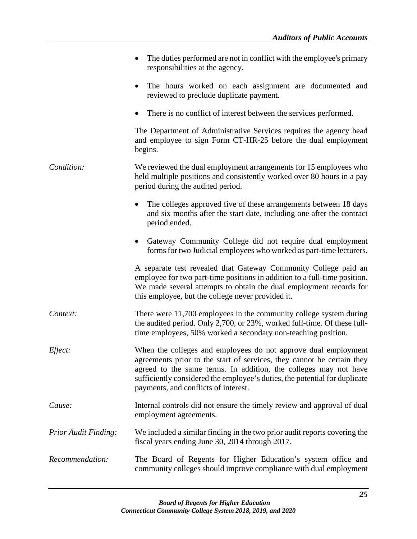|                             | The duties performed are not in conflict with the employee's primary<br>responsibilities at the agency.                                                                                                                                                                                                                            |
|-----------------------------|------------------------------------------------------------------------------------------------------------------------------------------------------------------------------------------------------------------------------------------------------------------------------------------------------------------------------------|
|                             | The hours worked on each assignment are documented and<br>$\bullet$<br>reviewed to preclude duplicate payment.                                                                                                                                                                                                                     |
|                             | There is no conflict of interest between the services performed.                                                                                                                                                                                                                                                                   |
|                             | The Department of Administrative Services requires the agency head<br>and employee to sign Form CT-HR-25 before the dual employment<br>begins.                                                                                                                                                                                     |
| Condition:                  | We reviewed the dual employment arrangements for 15 employees who<br>held multiple positions and consistently worked over 80 hours in a pay<br>period during the audited period.                                                                                                                                                   |
|                             | The colleges approved five of these arrangements between 18 days<br>and six months after the start date, including one after the contract<br>period ended.                                                                                                                                                                         |
|                             | Gateway Community College did not require dual employment<br>$\bullet$<br>forms for two Judicial employees who worked as part-time lecturers.                                                                                                                                                                                      |
|                             | A separate test revealed that Gateway Community College paid an<br>employee for two part-time positions in addition to a full-time position.<br>We made several attempts to obtain the dual employment records for<br>this employee, but the college never provided it.                                                            |
| Context:                    | There were 11,700 employees in the community college system during<br>the audited period. Only 2,700, or 23%, worked full-time. Of these full-<br>time employees, 50% worked a secondary non-teaching position.                                                                                                                    |
| Effect:                     | When the colleges and employees do not approve dual employment<br>agreements prior to the start of services, they cannot be certain they<br>agreed to the same terms. In addition, the colleges may not have<br>sufficiently considered the employee's duties, the potential for duplicate<br>payments, and conflicts of interest. |
| Cause:                      | Internal controls did not ensure the timely review and approval of dual<br>employment agreements.                                                                                                                                                                                                                                  |
| <b>Prior Audit Finding:</b> | We included a similar finding in the two prior audit reports covering the<br>fiscal years ending June 30, 2014 through 2017.                                                                                                                                                                                                       |
| Recommendation:             | The Board of Regents for Higher Education's system office and<br>community colleges should improve compliance with dual employment                                                                                                                                                                                                 |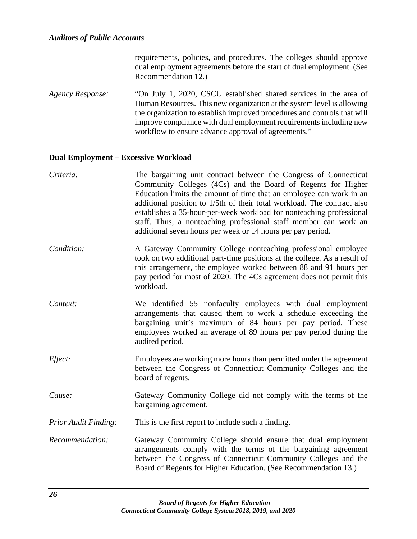requirements, policies, and procedures. The colleges should approve dual employment agreements before the start of dual employment. (See Recommendation 12.)

*Agency Response:* "On July 1, 2020, CSCU established shared services in the area of Human Resources. This new organization at the system level is allowing the organization to establish improved procedures and controls that will improve compliance with dual employment requirements including new workflow to ensure advance approval of agreements."

#### **Dual Employment – Excessive Workload**

| Criteria:                   | The bargaining unit contract between the Congress of Connecticut<br>Community Colleges (4Cs) and the Board of Regents for Higher<br>Education limits the amount of time that an employee can work in an<br>additional position to 1/5th of their total workload. The contract also<br>establishes a 35-hour-per-week workload for nonteaching professional<br>staff. Thus, a nonteaching professional staff member can work an<br>additional seven hours per week or 14 hours per pay period. |
|-----------------------------|-----------------------------------------------------------------------------------------------------------------------------------------------------------------------------------------------------------------------------------------------------------------------------------------------------------------------------------------------------------------------------------------------------------------------------------------------------------------------------------------------|
| Condition:                  | A Gateway Community College nonteaching professional employee<br>took on two additional part-time positions at the college. As a result of<br>this arrangement, the employee worked between 88 and 91 hours per<br>pay period for most of 2020. The 4Cs agreement does not permit this<br>workload.                                                                                                                                                                                           |
| Context:                    | We identified 55 nonfaculty employees with dual employment<br>arrangements that caused them to work a schedule exceeding the<br>bargaining unit's maximum of 84 hours per pay period. These<br>employees worked an average of 89 hours per pay period during the<br>audited period.                                                                                                                                                                                                           |
| Effect:                     | Employees are working more hours than permitted under the agreement<br>between the Congress of Connecticut Community Colleges and the<br>board of regents.                                                                                                                                                                                                                                                                                                                                    |
| Cause:                      | Gateway Community College did not comply with the terms of the<br>bargaining agreement.                                                                                                                                                                                                                                                                                                                                                                                                       |
| <b>Prior Audit Finding:</b> | This is the first report to include such a finding.                                                                                                                                                                                                                                                                                                                                                                                                                                           |
| Recommendation:             | Gateway Community College should ensure that dual employment<br>arrangements comply with the terms of the bargaining agreement<br>between the Congress of Connecticut Community Colleges and the<br>Board of Regents for Higher Education. (See Recommendation 13.)                                                                                                                                                                                                                           |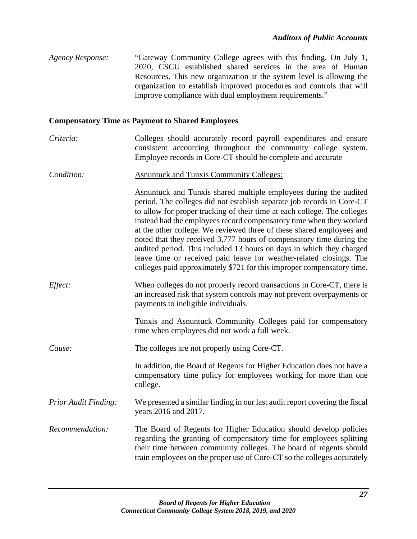| Agency Response: | "Gateway Community College agrees with this finding. On July 1,      |
|------------------|----------------------------------------------------------------------|
|                  | 2020, CSCU established shared services in the area of Human          |
|                  | Resources. This new organization at the system level is allowing the |
|                  | organization to establish improved procedures and controls that will |
|                  | improve compliance with dual employment requirements."               |

## **Compensatory Time as Payment to Shared Employees**

- *Criteria:* Colleges should accurately record payroll expenditures and ensure consistent accounting throughout the community college system. Employee records in Core-CT should be complete and accurate
- *Condition:* Asnuntuck and Tunxis Community Colleges:

Asnuntuck and Tunxis shared multiple employees during the audited period. The colleges did not establish separate job records in Core-CT to allow for proper tracking of their time at each college. The colleges instead had the employees record compensatory time when they worked at the other college. We reviewed three of these shared employees and noted that they received 3,777 hours of compensatory time during the audited period. This included 13 hours on days in which they charged leave time or received paid leave for weather-related closings. The colleges paid approximately \$721 for this improper compensatory time.

*Effect:* When colleges do not properly record transactions in Core-CT, there is an increased risk that system controls may not prevent overpayments or payments to ineligible individuals.

> Tunxis and Asnuntuck Community Colleges paid for compensatory time when employees did not work a full week.

*Cause:* The colleges are not properly using Core-CT.

In addition, the Board of Regents for Higher Education does not have a compensatory time policy for employees working for more than one college.

- *Prior Audit Finding:* We presented a similar finding in our last audit report covering the fiscal years 2016 and 2017.
- *Recommendation:* The Board of Regents for Higher Education should develop policies regarding the granting of compensatory time for employees splitting their time between community colleges. The board of regents should train employees on the proper use of Core-CT so the colleges accurately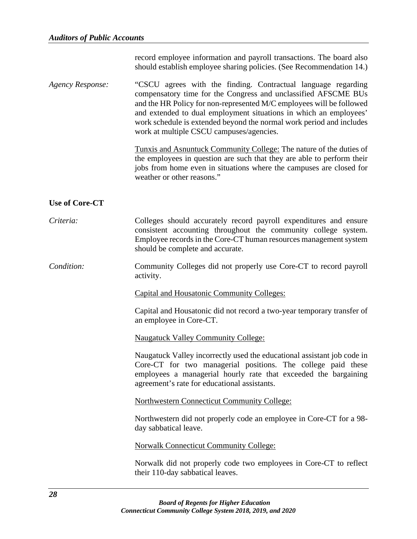|                         | record employee information and payroll transactions. The board also<br>should establish employee sharing policies. (See Recommendation 14.)                                                                                                                                                                                                                                                     |
|-------------------------|--------------------------------------------------------------------------------------------------------------------------------------------------------------------------------------------------------------------------------------------------------------------------------------------------------------------------------------------------------------------------------------------------|
| <b>Agency Response:</b> | "CSCU agrees with the finding. Contractual language regarding<br>compensatory time for the Congress and unclassified AFSCME BUs<br>and the HR Policy for non-represented M/C employees will be followed<br>and extended to dual employment situations in which an employees'<br>work schedule is extended beyond the normal work period and includes<br>work at multiple CSCU campuses/agencies. |
|                         | Tunxis and Asnuntuck Community College: The nature of the duties of<br>the employees in question are such that they are able to perform their<br>jobs from home even in situations where the campuses are closed for<br>weather or other reasons."                                                                                                                                               |
| <b>Use of Core-CT</b>   |                                                                                                                                                                                                                                                                                                                                                                                                  |
| Criteria:               | Colleges should accurately record payroll expenditures and ensure<br>consistent accounting throughout the community college system.<br>Employee records in the Core-CT human resources management system<br>should be complete and accurate.                                                                                                                                                     |
| Condition:              | Community Colleges did not properly use Core-CT to record payroll<br>activity.                                                                                                                                                                                                                                                                                                                   |
|                         | <b>Capital and Housatonic Community Colleges:</b>                                                                                                                                                                                                                                                                                                                                                |
|                         | Capital and Housatonic did not record a two-year temporary transfer of<br>an employee in Core-CT.                                                                                                                                                                                                                                                                                                |
|                         | <b>Naugatuck Valley Community College:</b>                                                                                                                                                                                                                                                                                                                                                       |
|                         | Naugatuck Valley incorrectly used the educational assistant job code in<br>Core-CT for two managerial positions. The college paid these<br>employees a managerial hourly rate that exceeded the bargaining<br>agreement's rate for educational assistants.                                                                                                                                       |
|                         | <b>Northwestern Connecticut Community College:</b>                                                                                                                                                                                                                                                                                                                                               |
|                         |                                                                                                                                                                                                                                                                                                                                                                                                  |

Northwestern did not properly code an employee in Core-CT for a 98 day sabbatical leave.

Norwalk Connecticut Community College:

Norwalk did not properly code two employees in Core-CT to reflect their 110-day sabbatical leaves.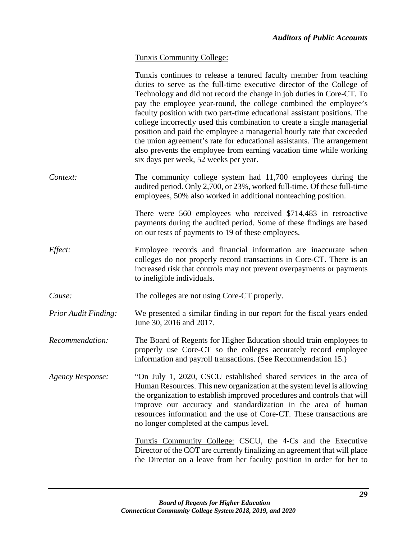# Tunxis Community College:

|                             | Tunxis continues to release a tenured faculty member from teaching<br>duties to serve as the full-time executive director of the College of<br>Technology and did not record the change in job duties in Core-CT. To<br>pay the employee year-round, the college combined the employee's<br>faculty position with two part-time educational assistant positions. The<br>college incorrectly used this combination to create a single managerial<br>position and paid the employee a managerial hourly rate that exceeded<br>the union agreement's rate for educational assistants. The arrangement<br>also prevents the employee from earning vacation time while working<br>six days per week, 52 weeks per year. |
|-----------------------------|--------------------------------------------------------------------------------------------------------------------------------------------------------------------------------------------------------------------------------------------------------------------------------------------------------------------------------------------------------------------------------------------------------------------------------------------------------------------------------------------------------------------------------------------------------------------------------------------------------------------------------------------------------------------------------------------------------------------|
| Context:                    | The community college system had 11,700 employees during the<br>audited period. Only 2,700, or 23%, worked full-time. Of these full-time<br>employees, 50% also worked in additional nonteaching position.                                                                                                                                                                                                                                                                                                                                                                                                                                                                                                         |
|                             | There were 560 employees who received \$714,483 in retroactive<br>payments during the audited period. Some of these findings are based<br>on our tests of payments to 19 of these employees.                                                                                                                                                                                                                                                                                                                                                                                                                                                                                                                       |
| Effect:                     | Employee records and financial information are inaccurate when<br>colleges do not properly record transactions in Core-CT. There is an<br>increased risk that controls may not prevent overpayments or payments<br>to ineligible individuals.                                                                                                                                                                                                                                                                                                                                                                                                                                                                      |
| Cause:                      | The colleges are not using Core-CT properly.                                                                                                                                                                                                                                                                                                                                                                                                                                                                                                                                                                                                                                                                       |
| <b>Prior Audit Finding:</b> | We presented a similar finding in our report for the fiscal years ended<br>June 30, 2016 and 2017.                                                                                                                                                                                                                                                                                                                                                                                                                                                                                                                                                                                                                 |
| Recommendation:             | The Board of Regents for Higher Education should train employees to<br>properly use Core-CT so the colleges accurately record employee<br>information and payroll transactions. (See Recommendation 15.)                                                                                                                                                                                                                                                                                                                                                                                                                                                                                                           |
| <b>Agency Response:</b>     | "On July 1, 2020, CSCU established shared services in the area of<br>Human Resources. This new organization at the system level is allowing<br>the organization to establish improved procedures and controls that will<br>improve our accuracy and standardization in the area of human<br>resources information and the use of Core-CT. These transactions are<br>no longer completed at the campus level.                                                                                                                                                                                                                                                                                                       |
|                             | Tunxis Community College: CSCU, the 4-Cs and the Executive<br>Director of the COT are currently finalizing an agreement that will place<br>the Director on a leave from her faculty position in order for her to                                                                                                                                                                                                                                                                                                                                                                                                                                                                                                   |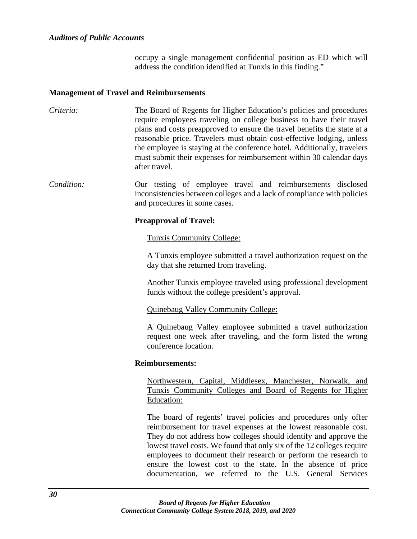occupy a single management confidential position as ED which will address the condition identified at Tunxis in this finding."

#### **Management of Travel and Reimbursements**

*Criteria:* The Board of Regents for Higher Education's policies and procedures require employees traveling on college business to have their travel plans and costs preapproved to ensure the travel benefits the state at a reasonable price. Travelers must obtain cost-effective lodging, unless the employee is staying at the conference hotel. Additionally, travelers must submit their expenses for reimbursement within 30 calendar days after travel.

*Condition:* Our testing of employee travel and reimbursements disclosed inconsistencies between colleges and a lack of compliance with policies and procedures in some cases.

#### **Preapproval of Travel:**

#### Tunxis Community College:

A Tunxis employee submitted a travel authorization request on the day that she returned from traveling.

Another Tunxis employee traveled using professional development funds without the college president's approval.

#### Quinebaug Valley Community College:

A Quinebaug Valley employee submitted a travel authorization request one week after traveling, and the form listed the wrong conference location.

#### **Reimbursements:**

Northwestern, Capital, Middlesex, Manchester, Norwalk, and Tunxis Community Colleges and Board of Regents for Higher Education:

The board of regents' travel policies and procedures only offer reimbursement for travel expenses at the lowest reasonable cost. They do not address how colleges should identify and approve the lowest travel costs. We found that only six of the 12 colleges require employees to document their research or perform the research to ensure the lowest cost to the state. In the absence of price documentation, we referred to the U.S. General Services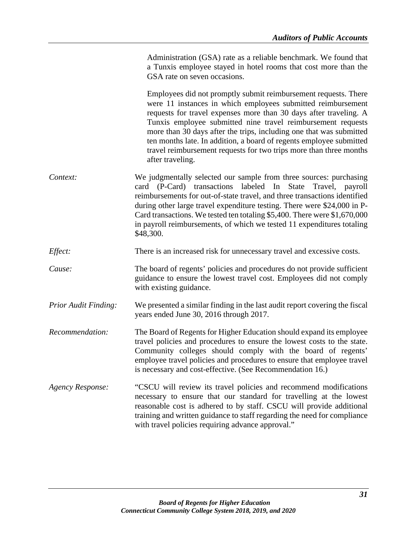Administration (GSA) rate as a reliable benchmark. We found that a Tunxis employee stayed in hotel rooms that cost more than the GSA rate on seven occasions.

Employees did not promptly submit reimbursement requests. There were 11 instances in which employees submitted reimbursement requests for travel expenses more than 30 days after traveling. A Tunxis employee submitted nine travel reimbursement requests more than 30 days after the trips, including one that was submitted ten months late. In addition, a board of regents employee submitted travel reimbursement requests for two trips more than three months after traveling.

- *Context:* We judgmentally selected our sample from three sources: purchasing card (P-Card) transactions labeled In State Travel, payroll reimbursements for out-of-state travel, and three transactions identified during other large travel expenditure testing. There were \$24,000 in P-Card transactions. We tested ten totaling \$5,400. There were \$1,670,000 in payroll reimbursements, of which we tested 11 expenditures totaling \$48,300.
- *Effect:* There is an increased risk for unnecessary travel and excessive costs.
- *Cause:* The board of regents' policies and procedures do not provide sufficient guidance to ensure the lowest travel cost. Employees did not comply with existing guidance.
- *Prior Audit Finding:* We presented a similar finding in the last audit report covering the fiscal years ended June 30, 2016 through 2017.
- *Recommendation:* The Board of Regents for Higher Education should expand its employee travel policies and procedures to ensure the lowest costs to the state. Community colleges should comply with the board of regents' employee travel policies and procedures to ensure that employee travel is necessary and cost-effective. (See Recommendation 16.)
- *Agency Response:* "CSCU will review its travel policies and recommend modifications necessary to ensure that our standard for travelling at the lowest reasonable cost is adhered to by staff. CSCU will provide additional training and written guidance to staff regarding the need for compliance with travel policies requiring advance approval."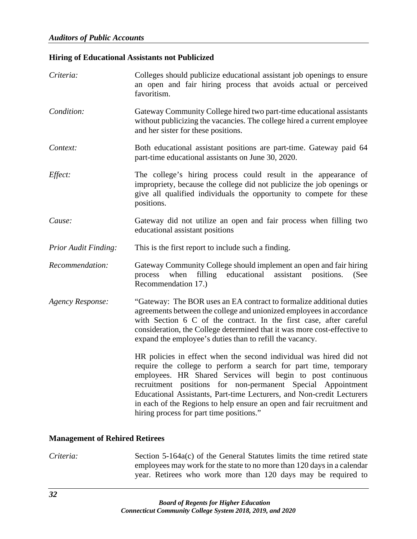## **Hiring of Educational Assistants not Publicized**

| Criteria:                   | Colleges should publicize educational assistant job openings to ensure<br>an open and fair hiring process that avoids actual or perceived<br>favoritism.                                                                                                                                                                                                                                                                                                            |
|-----------------------------|---------------------------------------------------------------------------------------------------------------------------------------------------------------------------------------------------------------------------------------------------------------------------------------------------------------------------------------------------------------------------------------------------------------------------------------------------------------------|
| Condition:                  | Gateway Community College hired two part-time educational assistants<br>without publicizing the vacancies. The college hired a current employee<br>and her sister for these positions.                                                                                                                                                                                                                                                                              |
| Context:                    | Both educational assistant positions are part-time. Gateway paid 64<br>part-time educational assistants on June 30, 2020.                                                                                                                                                                                                                                                                                                                                           |
| Effect:                     | The college's hiring process could result in the appearance of<br>impropriety, because the college did not publicize the job openings or<br>give all qualified individuals the opportunity to compete for these<br>positions.                                                                                                                                                                                                                                       |
| Cause:                      | Gateway did not utilize an open and fair process when filling two<br>educational assistant positions                                                                                                                                                                                                                                                                                                                                                                |
| <b>Prior Audit Finding:</b> | This is the first report to include such a finding.                                                                                                                                                                                                                                                                                                                                                                                                                 |
| Recommendation:             | Gateway Community College should implement an open and fair hiring<br>filling<br>educational<br>assistant<br>process<br>when<br>positions.<br>(See<br>Recommendation 17.)                                                                                                                                                                                                                                                                                           |
| <b>Agency Response:</b>     | "Gateway: The BOR uses an EA contract to formalize additional duties<br>agreements between the college and unionized employees in accordance<br>with Section 6 C of the contract. In the first case, after careful<br>consideration, the College determined that it was more cost-effective to<br>expand the employee's duties than to refill the vacancy.                                                                                                          |
|                             | HR policies in effect when the second individual was hired did not<br>require the college to perform a search for part time, temporary<br>employees. HR Shared Services will begin to post continuous<br>recruitment positions for non-permanent Special Appointment<br>Educational Assistants, Part-time Lecturers, and Non-credit Lecturers<br>in each of the Regions to help ensure an open and fair recruitment and<br>hiring process for part time positions." |

#### **Management of Rehired Retirees**

*Criteria:* Section 5-164a(c) of the General Statutes limits the time retired state employees may work for the state to no more than 120 days in a calendar year. Retirees who work more than 120 days may be required to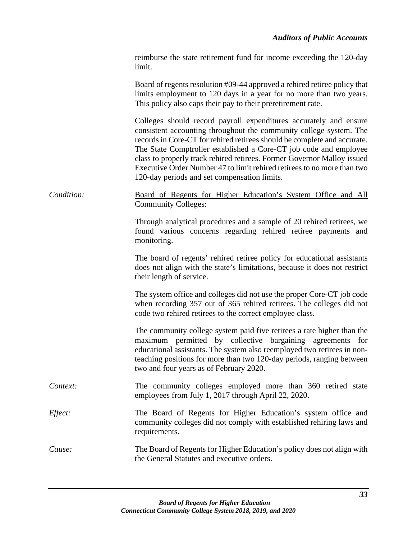|            | reimburse the state retirement fund for income exceeding the 120-day<br>limit.                                                                                                                                                                                                                                                                                                                                                                                                                 |
|------------|------------------------------------------------------------------------------------------------------------------------------------------------------------------------------------------------------------------------------------------------------------------------------------------------------------------------------------------------------------------------------------------------------------------------------------------------------------------------------------------------|
|            | Board of regents resolution #09-44 approved a rehired retiree policy that<br>limits employment to 120 days in a year for no more than two years.<br>This policy also caps their pay to their preretirement rate.                                                                                                                                                                                                                                                                               |
|            | Colleges should record payroll expenditures accurately and ensure<br>consistent accounting throughout the community college system. The<br>records in Core-CT for rehired retirees should be complete and accurate.<br>The State Comptroller established a Core-CT job code and employee<br>class to properly track rehired retirees. Former Governor Malloy issued<br>Executive Order Number 47 to limit rehired retirees to no more than two<br>120-day periods and set compensation limits. |
| Condition: | Board of Regents for Higher Education's System Office and All<br><b>Community Colleges:</b>                                                                                                                                                                                                                                                                                                                                                                                                    |
|            | Through analytical procedures and a sample of 20 rehired retirees, we<br>found various concerns regarding rehired retiree payments and<br>monitoring.                                                                                                                                                                                                                                                                                                                                          |
|            | The board of regents' rehired retiree policy for educational assistants<br>does not align with the state's limitations, because it does not restrict<br>their length of service.                                                                                                                                                                                                                                                                                                               |
|            | The system office and colleges did not use the proper Core-CT job code<br>when recording 357 out of 365 rehired retirees. The colleges did not<br>code two rehired retirees to the correct employee class.                                                                                                                                                                                                                                                                                     |
|            | The community college system paid five retirees a rate higher than the<br>maximum permitted by collective bargaining agreements for<br>educational assistants. The system also reemployed two retirees in non-<br>teaching positions for more than two 120-day periods, ranging between<br>two and four years as of February 2020.                                                                                                                                                             |
| Context:   | The community colleges employed more than 360 retired state<br>employees from July 1, 2017 through April 22, 2020.                                                                                                                                                                                                                                                                                                                                                                             |
| Effect:    | The Board of Regents for Higher Education's system office and<br>community colleges did not comply with established rehiring laws and<br>requirements.                                                                                                                                                                                                                                                                                                                                         |
| Cause:     | The Board of Regents for Higher Education's policy does not align with<br>the General Statutes and executive orders.                                                                                                                                                                                                                                                                                                                                                                           |
|            |                                                                                                                                                                                                                                                                                                                                                                                                                                                                                                |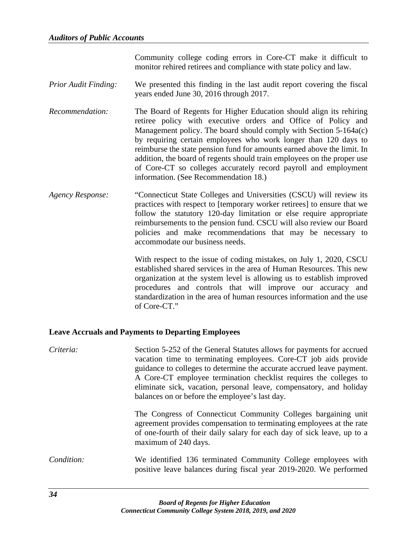Community college coding errors in Core-CT make it difficult to monitor rehired retirees and compliance with state policy and law.

- *Prior Audit Finding:* We presented this finding in the last audit report covering the fiscal years ended June 30, 2016 through 2017.
- *Recommendation:* The Board of Regents for Higher Education should align its rehiring retiree policy with executive orders and Office of Policy and Management policy. The board should comply with Section 5-164a(c) by requiring certain employees who work longer than 120 days to reimburse the state pension fund for amounts earned above the limit. In addition, the board of regents should train employees on the proper use of Core-CT so colleges accurately record payroll and employment information. (See Recommendation 18.)
- *Agency Response:* "Connecticut State Colleges and Universities (CSCU) will review its practices with respect to [temporary worker retirees] to ensure that we follow the statutory 120-day limitation or else require appropriate reimbursements to the pension fund. CSCU will also review our Board policies and make recommendations that may be necessary to accommodate our business needs.

With respect to the issue of coding mistakes, on July 1, 2020, CSCU established shared services in the area of Human Resources. This new organization at the system level is allowing us to establish improved procedures and controls that will improve our accuracy and standardization in the area of human resources information and the use of Core-CT."

#### **Leave Accruals and Payments to Departing Employees**

| Criteria:  | Section 5-252 of the General Statutes allows for payments for accrued<br>vacation time to terminating employees. Core-CT job aids provide<br>guidance to colleges to determine the accurate accrued leave payment.<br>A Core-CT employee termination checklist requires the colleges to<br>eliminate sick, vacation, personal leave, compensatory, and holiday<br>balances on or before the employee's last day. |
|------------|------------------------------------------------------------------------------------------------------------------------------------------------------------------------------------------------------------------------------------------------------------------------------------------------------------------------------------------------------------------------------------------------------------------|
|            | The Congress of Connecticut Community Colleges bargaining unit<br>agreement provides compensation to terminating employees at the rate<br>of one-fourth of their daily salary for each day of sick leave, up to a<br>maximum of 240 days.                                                                                                                                                                        |
| Condition: | We identified 136 terminated Community College employees with<br>positive leave balances during fiscal year 2019-2020. We performed                                                                                                                                                                                                                                                                              |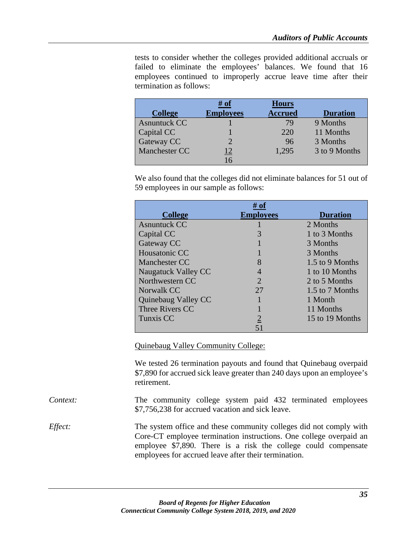tests to consider whether the colleges provided additional accruals or failed to eliminate the employees' balances. We found that 16 employees continued to improperly accrue leave time after their termination as follows:

|                     | # of             | <b>Hours</b>   |                 |
|---------------------|------------------|----------------|-----------------|
| <b>College</b>      | <b>Employees</b> | <b>Accrued</b> | <b>Duration</b> |
| <b>Asnuntuck CC</b> |                  | 79             | 9 Months        |
| Capital CC          |                  | 220            | 11 Months       |
| Gateway CC          | ာ                | 96             | 3 Months        |
| Manchester CC       |                  | 1,295          | 3 to 9 Months   |
|                     | $\overline{6}$   |                |                 |

We also found that the colleges did not eliminate balances for 51 out of 59 employees in our sample as follows:

| <b>College</b>      | <b>Employees</b> | <b>Duration</b> |
|---------------------|------------------|-----------------|
| <b>Asnuntuck CC</b> |                  | 2 Months        |
| Capital CC          |                  | 1 to 3 Months   |
| Gateway CC          |                  | 3 Months        |
| Housatonic CC       |                  | 3 Months        |
| Manchester CC       |                  | 1.5 to 9 Months |
| Naugatuck Valley CC |                  | 1 to 10 Months  |
| Northwestern CC     | 2                | 2 to 5 Months   |
| Norwalk CC          | 27               | 1.5 to 7 Months |
| Quinebaug Valley CC |                  | 1 Month         |
| Three Rivers CC     |                  | 11 Months       |
| Tunxis CC           |                  | 15 to 19 Months |
|                     |                  |                 |

Quinebaug Valley Community College:

We tested 26 termination payouts and found that Quinebaug overpaid \$7,890 for accrued sick leave greater than 240 days upon an employee's retirement.

*Context:* The community college system paid 432 terminated employees \$7,756,238 for accrued vacation and sick leave.

*Effect:* The system office and these community colleges did not comply with Core-CT employee termination instructions. One college overpaid an employee \$7,890. There is a risk the college could compensate employees for accrued leave after their termination.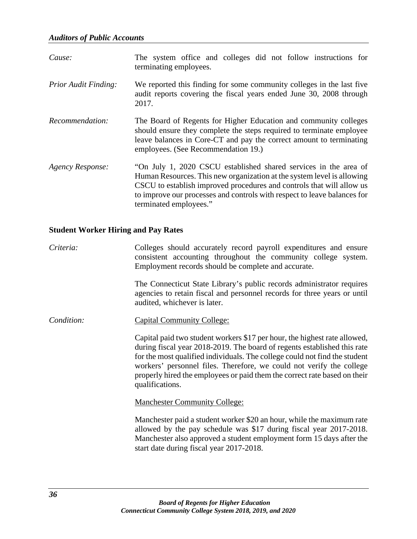| Cause:                      | The system office and colleges did not follow instructions for<br>terminating employees.                                                                                                                                                                                                                                  |
|-----------------------------|---------------------------------------------------------------------------------------------------------------------------------------------------------------------------------------------------------------------------------------------------------------------------------------------------------------------------|
| <b>Prior Audit Finding:</b> | We reported this finding for some community colleges in the last five<br>audit reports covering the fiscal years ended June 30, 2008 through<br>2017.                                                                                                                                                                     |
| Recommendation:             | The Board of Regents for Higher Education and community colleges<br>should ensure they complete the steps required to terminate employee<br>leave balances in Core-CT and pay the correct amount to terminating<br>employees. (See Recommendation 19.)                                                                    |
| <b>Agency Response:</b>     | "On July 1, 2020 CSCU established shared services in the area of<br>Human Resources. This new organization at the system level is allowing<br>CSCU to establish improved procedures and controls that will allow us<br>to improve our processes and controls with respect to leave balances for<br>terminated employees." |

# **Student Worker Hiring and Pay Rates**

| Criteria:  | Colleges should accurately record payroll expenditures and ensure<br>consistent accounting throughout the community college system.<br>Employment records should be complete and accurate.                                                                                                                                                                                                                  |
|------------|-------------------------------------------------------------------------------------------------------------------------------------------------------------------------------------------------------------------------------------------------------------------------------------------------------------------------------------------------------------------------------------------------------------|
|            | The Connecticut State Library's public records administrator requires<br>agencies to retain fiscal and personnel records for three years or until<br>audited, whichever is later.                                                                                                                                                                                                                           |
| Condition: | <b>Capital Community College:</b>                                                                                                                                                                                                                                                                                                                                                                           |
|            | Capital paid two student workers \$17 per hour, the highest rate allowed,<br>during fiscal year 2018-2019. The board of regents established this rate<br>for the most qualified individuals. The college could not find the student<br>workers' personnel files. Therefore, we could not verify the college<br>properly hired the employees or paid them the correct rate based on their<br>qualifications. |
|            | <b>Manchester Community College:</b>                                                                                                                                                                                                                                                                                                                                                                        |
|            | Manchester paid a student worker \$20 an hour, while the maximum rate<br>allowed by the pay schedule was \$17 during fiscal year 2017-2018.<br>Manchester also approved a student employment form 15 days after the<br>start date during fiscal year 2017-2018.                                                                                                                                             |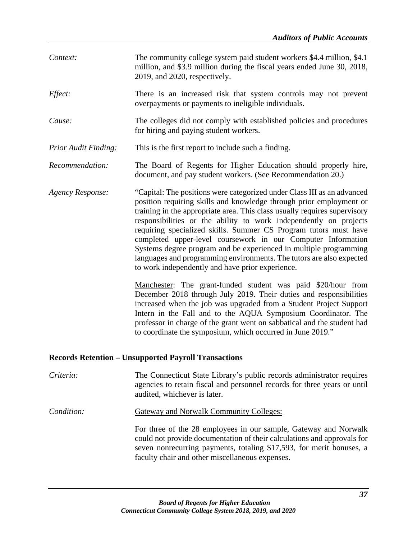| Context:                                                    | The community college system paid student workers \$4.4 million, \$4.1<br>million, and \$3.9 million during the fiscal years ended June 30, 2018,<br>2019, and 2020, respectively.                                                                                                                                                                                                                                                                                                                                                                                                                                                    |  |
|-------------------------------------------------------------|---------------------------------------------------------------------------------------------------------------------------------------------------------------------------------------------------------------------------------------------------------------------------------------------------------------------------------------------------------------------------------------------------------------------------------------------------------------------------------------------------------------------------------------------------------------------------------------------------------------------------------------|--|
| Effect:                                                     | There is an increased risk that system controls may not prevent<br>overpayments or payments to ineligible individuals.                                                                                                                                                                                                                                                                                                                                                                                                                                                                                                                |  |
| Cause:                                                      | The colleges did not comply with established policies and procedures<br>for hiring and paying student workers.                                                                                                                                                                                                                                                                                                                                                                                                                                                                                                                        |  |
| <b>Prior Audit Finding:</b>                                 | This is the first report to include such a finding.                                                                                                                                                                                                                                                                                                                                                                                                                                                                                                                                                                                   |  |
| Recommendation:                                             | The Board of Regents for Higher Education should properly hire,<br>document, and pay student workers. (See Recommendation 20.)                                                                                                                                                                                                                                                                                                                                                                                                                                                                                                        |  |
| <b>Agency Response:</b>                                     | "Capital: The positions were categorized under Class III as an advanced<br>position requiring skills and knowledge through prior employment or<br>training in the appropriate area. This class usually requires supervisory<br>responsibilities or the ability to work independently on projects<br>requiring specialized skills. Summer CS Program tutors must have<br>completed upper-level coursework in our Computer Information<br>Systems degree program and be experienced in multiple programming<br>languages and programming environments. The tutors are also expected<br>to work independently and have prior experience. |  |
|                                                             | Manchester: The grant-funded student was paid \$20/hour from<br>December 2018 through July 2019. Their duties and responsibilities<br>increased when the job was upgraded from a Student Project Support<br>Intern in the Fall and to the AQUA Symposium Coordinator. The<br>professor in charge of the grant went on sabbatical and the student had<br>to coordinate the symposium, which occurred in June 2019."                                                                                                                                                                                                                    |  |
| <b>Records Retention - Unsupported Payroll Transactions</b> |                                                                                                                                                                                                                                                                                                                                                                                                                                                                                                                                                                                                                                       |  |

- *Criteria:* The Connecticut State Library's public records administrator requires agencies to retain fiscal and personnel records for three years or until audited, whichever is later.
- **Condition:** Gateway and Norwalk Community Colleges:

For three of the 28 employees in our sample, Gateway and Norwalk could not provide documentation of their calculations and approvals for seven nonrecurring payments, totaling \$17,593, for merit bonuses, a faculty chair and other miscellaneous expenses.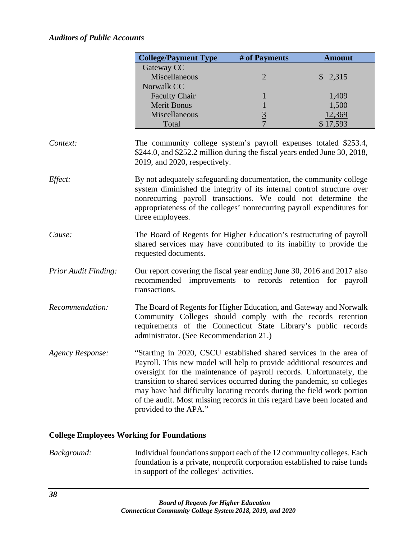|                         | <b>College/Payment Type</b>                                                                                                                                                                                                                                                                                                                                                                                                                                                  | # of Payments  | <b>Amount</b>      |
|-------------------------|------------------------------------------------------------------------------------------------------------------------------------------------------------------------------------------------------------------------------------------------------------------------------------------------------------------------------------------------------------------------------------------------------------------------------------------------------------------------------|----------------|--------------------|
|                         | Gateway CC                                                                                                                                                                                                                                                                                                                                                                                                                                                                   |                |                    |
|                         | Miscellaneous                                                                                                                                                                                                                                                                                                                                                                                                                                                                | $\overline{2}$ | \$2,315            |
|                         | Norwalk CC                                                                                                                                                                                                                                                                                                                                                                                                                                                                   |                |                    |
|                         | <b>Faculty Chair</b>                                                                                                                                                                                                                                                                                                                                                                                                                                                         | 1              | 1,409              |
|                         | <b>Merit Bonus</b>                                                                                                                                                                                                                                                                                                                                                                                                                                                           | $\mathbf 1$    | 1,500              |
|                         | Miscellaneous<br>Total                                                                                                                                                                                                                                                                                                                                                                                                                                                       | $rac{3}{7}$    | 12,369<br>\$17,593 |
|                         |                                                                                                                                                                                                                                                                                                                                                                                                                                                                              |                |                    |
| Context:                | The community college system's payroll expenses totaled \$253.4,<br>\$244.0, and \$252.2 million during the fiscal years ended June 30, 2018,<br>2019, and 2020, respectively.                                                                                                                                                                                                                                                                                               |                |                    |
| Effect:                 | By not adequately safeguarding documentation, the community college<br>system diminished the integrity of its internal control structure over<br>nonrecurring payroll transactions. We could not determine the<br>appropriateness of the colleges' nonrecurring payroll expenditures for<br>three employees.                                                                                                                                                                 |                |                    |
| Cause:                  | The Board of Regents for Higher Education's restructuring of payroll<br>shared services may have contributed to its inability to provide the<br>requested documents.                                                                                                                                                                                                                                                                                                         |                |                    |
| Prior Audit Finding:    | Our report covering the fiscal year ending June 30, 2016 and 2017 also<br>recommended improvements to records retention for payroll<br>transactions.                                                                                                                                                                                                                                                                                                                         |                |                    |
| Recommendation:         | The Board of Regents for Higher Education, and Gateway and Norwalk<br>Community Colleges should comply with the records retention<br>requirements of the Connecticut State Library's public records<br>administrator. (See Recommendation 21.)                                                                                                                                                                                                                               |                |                    |
| <b>Agency Response:</b> | "Starting in 2020, CSCU established shared services in the area of<br>Payroll. This new model will help to provide additional resources and<br>oversight for the maintenance of payroll records. Unfortunately, the<br>transition to shared services occurred during the pandemic, so colleges<br>may have had difficulty locating records during the field work portion<br>of the audit. Most missing records in this regard have been located and<br>provided to the APA." |                |                    |

## **College Employees Working for Foundations**

*Background:* Individual foundations support each of the 12 community colleges. Each foundation is a private, nonprofit corporation established to raise funds in support of the colleges' activities.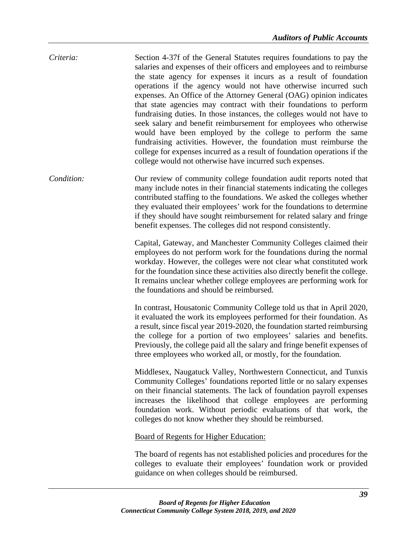| Criteria: | Section 4-37f of the General Statutes requires foundations to pay the<br>salaries and expenses of their officers and employees and to reimburse<br>the state agency for expenses it incurs as a result of foundation<br>operations if the agency would not have otherwise incurred such<br>expenses. An Office of the Attorney General (OAG) opinion indicates<br>that state agencies may contract with their foundations to perform<br>fundraising duties. In those instances, the colleges would not have to<br>seek salary and benefit reimbursement for employees who otherwise<br>would have been employed by the college to perform the same<br>fundraising activities. However, the foundation must reimburse the<br>college for expenses incurred as a result of foundation operations if the |
|-----------|-------------------------------------------------------------------------------------------------------------------------------------------------------------------------------------------------------------------------------------------------------------------------------------------------------------------------------------------------------------------------------------------------------------------------------------------------------------------------------------------------------------------------------------------------------------------------------------------------------------------------------------------------------------------------------------------------------------------------------------------------------------------------------------------------------|
|           | college would not otherwise have incurred such expenses.                                                                                                                                                                                                                                                                                                                                                                                                                                                                                                                                                                                                                                                                                                                                              |

*Condition:* Our review of community college foundation audit reports noted that many include notes in their financial statements indicating the colleges contributed staffing to the foundations. We asked the colleges whether they evaluated their employees' work for the foundations to determine if they should have sought reimbursement for related salary and fringe benefit expenses. The colleges did not respond consistently.

> Capital, Gateway, and Manchester Community Colleges claimed their employees do not perform work for the foundations during the normal workday. However, the colleges were not clear what constituted work for the foundation since these activities also directly benefit the college. It remains unclear whether college employees are performing work for the foundations and should be reimbursed.

> In contrast, Housatonic Community College told us that in April 2020, it evaluated the work its employees performed for their foundation. As a result, since fiscal year 2019-2020, the foundation started reimbursing the college for a portion of two employees' salaries and benefits. Previously, the college paid all the salary and fringe benefit expenses of three employees who worked all, or mostly, for the foundation.

> Middlesex, Naugatuck Valley, Northwestern Connecticut, and Tunxis Community Colleges' foundations reported little or no salary expenses on their financial statements. The lack of foundation payroll expenses increases the likelihood that college employees are performing foundation work. Without periodic evaluations of that work, the colleges do not know whether they should be reimbursed.

Board of Regents for Higher Education:

The board of regents has not established policies and procedures for the colleges to evaluate their employees' foundation work or provided guidance on when colleges should be reimbursed.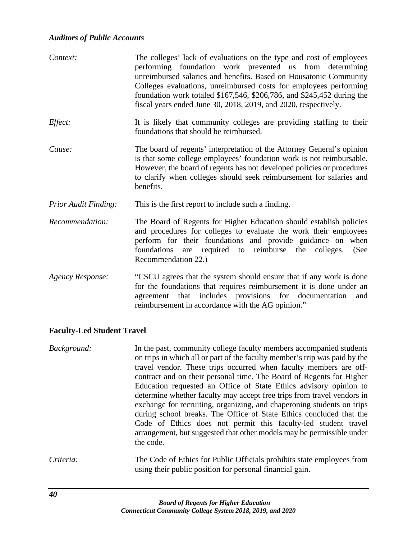| Context:                    | The colleges' lack of evaluations on the type and cost of employees<br>performing foundation work prevented us from determining<br>unreimbursed salaries and benefits. Based on Housatonic Community<br>Colleges evaluations, unreimbursed costs for employees performing<br>foundation work totaled \$167,546, \$206,786, and \$245,452 during the<br>fiscal years ended June 30, 2018, 2019, and 2020, respectively. |
|-----------------------------|------------------------------------------------------------------------------------------------------------------------------------------------------------------------------------------------------------------------------------------------------------------------------------------------------------------------------------------------------------------------------------------------------------------------|
| Effect:                     | It is likely that community colleges are providing staffing to their<br>foundations that should be reimbursed.                                                                                                                                                                                                                                                                                                         |
| Cause:                      | The board of regents' interpretation of the Attorney General's opinion<br>is that some college employees' foundation work is not reimbursable.<br>However, the board of regents has not developed policies or procedures<br>to clarify when colleges should seek reimbursement for salaries and<br>benefits.                                                                                                           |
| <b>Prior Audit Finding:</b> | This is the first report to include such a finding.                                                                                                                                                                                                                                                                                                                                                                    |
| Recommendation:             | The Board of Regents for Higher Education should establish policies<br>and procedures for colleges to evaluate the work their employees<br>perform for their foundations and provide guidance on when<br>foundations are required to reimburse the colleges.<br>(See<br>Recommendation 22.)                                                                                                                            |
| <b>Agency Response:</b>     | "CSCU agrees that the system should ensure that if any work is done<br>for the foundations that requires reimbursement it is done under an<br>agreement that includes provisions for documentation<br>and<br>reimbursement in accordance with the AG opinion."                                                                                                                                                         |

#### **Faculty-Led Student Travel**

*Background:* In the past, community college faculty members accompanied students on trips in which all or part of the faculty member's trip was paid by the travel vendor. These trips occurred when faculty members are offcontract and on their personal time. The Board of Regents for Higher Education requested an Office of State Ethics advisory opinion to determine whether faculty may accept free trips from travel vendors in exchange for recruiting, organizing, and chaperoning students on trips during school breaks. The Office of State Ethics concluded that the Code of Ethics does not permit this faculty-led student travel arrangement, but suggested that other models may be permissible under the code.

*Criteria:* The Code of Ethics for Public Officials prohibits state employees from using their public position for personal financial gain.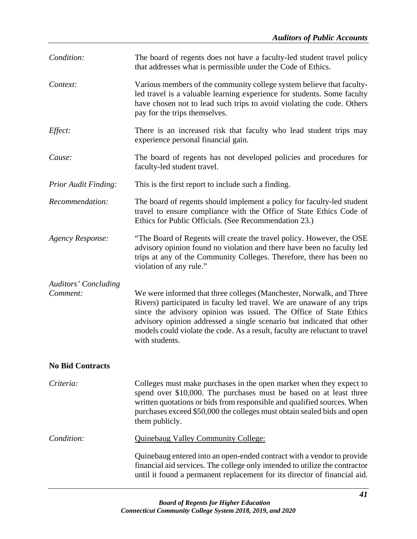| Condition:                              | The board of regents does not have a faculty-led student travel policy<br>that addresses what is permissible under the Code of Ethics.                                                                                                                                                                                                                                                         |  |
|-----------------------------------------|------------------------------------------------------------------------------------------------------------------------------------------------------------------------------------------------------------------------------------------------------------------------------------------------------------------------------------------------------------------------------------------------|--|
| Context:                                | Various members of the community college system believe that faculty-<br>led travel is a valuable learning experience for students. Some faculty<br>have chosen not to lead such trips to avoid violating the code. Others<br>pay for the trips themselves.                                                                                                                                    |  |
| Effect:                                 | There is an increased risk that faculty who lead student trips may<br>experience personal financial gain.                                                                                                                                                                                                                                                                                      |  |
| Cause:                                  | The board of regents has not developed policies and procedures for<br>faculty-led student travel.                                                                                                                                                                                                                                                                                              |  |
| <b>Prior Audit Finding:</b>             | This is the first report to include such a finding.                                                                                                                                                                                                                                                                                                                                            |  |
| Recommendation:                         | The board of regents should implement a policy for faculty-led student<br>travel to ensure compliance with the Office of State Ethics Code of<br>Ethics for Public Officials. (See Recommendation 23.)                                                                                                                                                                                         |  |
| <b>Agency Response:</b>                 | "The Board of Regents will create the travel policy. However, the OSE<br>advisory opinion found no violation and there have been no faculty led<br>trips at any of the Community Colleges. Therefore, there has been no<br>violation of any rule."                                                                                                                                             |  |
| <b>Auditors' Concluding</b><br>Comment: | We were informed that three colleges (Manchester, Norwalk, and Three<br>Rivers) participated in faculty led travel. We are unaware of any trips<br>since the advisory opinion was issued. The Office of State Ethics<br>advisory opinion addressed a single scenario but indicated that other<br>models could violate the code. As a result, faculty are reluctant to travel<br>with students. |  |
| <b>No Bid Contracts</b>                 |                                                                                                                                                                                                                                                                                                                                                                                                |  |
| Criteria:                               | Colleges must make purchases in the open market when they expect to<br>spend over \$10,000. The purchases must be based on at least three<br>written quotations or bids from responsible and qualified sources. When<br>purchases exceed \$50,000 the colleges must obtain sealed bids and open<br>them publicly.                                                                              |  |
| Condition:                              | <b>Quinebaug Valley Community College:</b>                                                                                                                                                                                                                                                                                                                                                     |  |
|                                         | Quinebaug entered into an open-ended contract with a vendor to provide<br>financial aid services. The college only intended to utilize the contractor<br>until it found a permanent replacement for its director of financial aid.                                                                                                                                                             |  |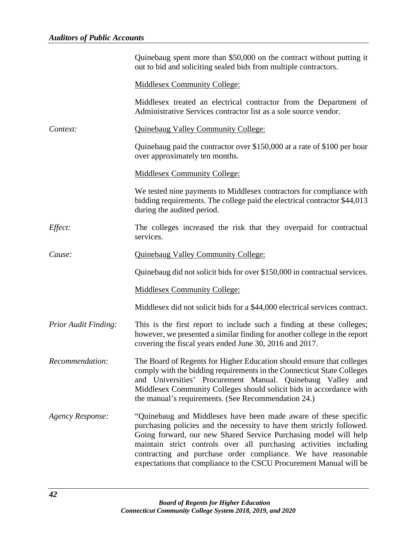|                         | Quinebaug spent more than \$50,000 on the contract without putting it<br>out to bid and soliciting sealed bids from multiple contractors.                                                                                                                                                                                                                                                                                 |
|-------------------------|---------------------------------------------------------------------------------------------------------------------------------------------------------------------------------------------------------------------------------------------------------------------------------------------------------------------------------------------------------------------------------------------------------------------------|
|                         | <b>Middlesex Community College:</b>                                                                                                                                                                                                                                                                                                                                                                                       |
|                         | Middlesex treated an electrical contractor from the Department of<br>Administrative Services contractor list as a sole source vendor.                                                                                                                                                                                                                                                                                     |
| Context:                | <b>Quinebaug Valley Community College:</b>                                                                                                                                                                                                                                                                                                                                                                                |
|                         | Quinebaug paid the contractor over \$150,000 at a rate of \$100 per hour<br>over approximately ten months.                                                                                                                                                                                                                                                                                                                |
|                         | <b>Middlesex Community College:</b>                                                                                                                                                                                                                                                                                                                                                                                       |
|                         | We tested nine payments to Middlesex contractors for compliance with<br>bidding requirements. The college paid the electrical contractor \$44,013<br>during the audited period.                                                                                                                                                                                                                                           |
| <i>Effect:</i>          | The colleges increased the risk that they overpaid for contractual<br>services.                                                                                                                                                                                                                                                                                                                                           |
| Cause:                  | <b>Quinebaug Valley Community College:</b>                                                                                                                                                                                                                                                                                                                                                                                |
|                         | Quinebaug did not solicit bids for over \$150,000 in contractual services.                                                                                                                                                                                                                                                                                                                                                |
|                         | <b>Middlesex Community College:</b>                                                                                                                                                                                                                                                                                                                                                                                       |
|                         | Middlesex did not solicit bids for a \$44,000 electrical services contract.                                                                                                                                                                                                                                                                                                                                               |
| Prior Audit Finding:    | This is the first report to include such a finding at these colleges;<br>however, we presented a similar finding for another college in the report<br>covering the fiscal years ended June 30, 2016 and 2017.                                                                                                                                                                                                             |
| Recommendation:         | The Board of Regents for Higher Education should ensure that colleges<br>comply with the bidding requirements in the Connecticut State Colleges<br>and Universities' Procurement Manual. Quinebaug Valley and<br>Middlesex Community Colleges should solicit bids in accordance with<br>the manual's requirements. (See Recommendation 24.)                                                                               |
| <b>Agency Response:</b> | "Quinebaug and Middlesex have been made aware of these specific<br>purchasing policies and the necessity to have them strictly followed.<br>Going forward, our new Shared Service Purchasing model will help<br>maintain strict controls over all purchasing activities including<br>contracting and purchase order compliance. We have reasonable<br>expectations that compliance to the CSCU Procurement Manual will be |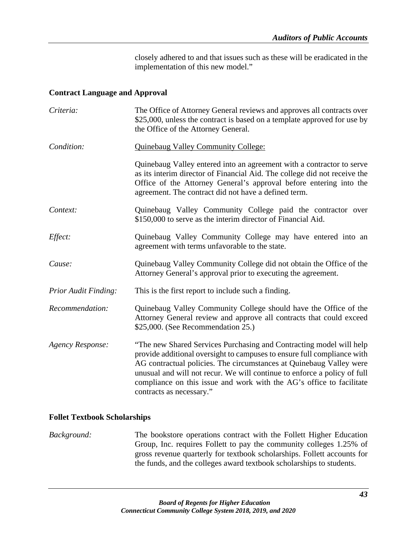closely adhered to and that issues such as these will be eradicated in the implementation of this new model."

#### **Contract Language and Approval**

| Criteria:                   | The Office of Attorney General reviews and approves all contracts over<br>\$25,000, unless the contract is based on a template approved for use by<br>the Office of the Attorney General.                                                                                                                                                                                                             |
|-----------------------------|-------------------------------------------------------------------------------------------------------------------------------------------------------------------------------------------------------------------------------------------------------------------------------------------------------------------------------------------------------------------------------------------------------|
| Condition:                  | <b>Quinebaug Valley Community College:</b>                                                                                                                                                                                                                                                                                                                                                            |
|                             | Quinebaug Valley entered into an agreement with a contractor to serve<br>as its interim director of Financial Aid. The college did not receive the<br>Office of the Attorney General's approval before entering into the<br>agreement. The contract did not have a defined term.                                                                                                                      |
| Context:                    | Quinebaug Valley Community College paid the contractor over<br>\$150,000 to serve as the interim director of Financial Aid.                                                                                                                                                                                                                                                                           |
| Effect:                     | Quinebaug Valley Community College may have entered into an<br>agreement with terms unfavorable to the state.                                                                                                                                                                                                                                                                                         |
| Cause:                      | Quinebaug Valley Community College did not obtain the Office of the<br>Attorney General's approval prior to executing the agreement.                                                                                                                                                                                                                                                                  |
| <b>Prior Audit Finding:</b> | This is the first report to include such a finding.                                                                                                                                                                                                                                                                                                                                                   |
| Recommendation:             | Quinebaug Valley Community College should have the Office of the<br>Attorney General review and approve all contracts that could exceed<br>\$25,000. (See Recommendation 25.)                                                                                                                                                                                                                         |
| <b>Agency Response:</b>     | "The new Shared Services Purchasing and Contracting model will help<br>provide additional oversight to campuses to ensure full compliance with<br>AG contractual policies. The circumstances at Quinebaug Valley were<br>unusual and will not recur. We will continue to enforce a policy of full<br>compliance on this issue and work with the AG's office to facilitate<br>contracts as necessary." |

## **Follet Textbook Scholarships**

*Background:* The bookstore operations contract with the Follett Higher Education Group, Inc. requires Follett to pay the community colleges 1.25% of gross revenue quarterly for textbook scholarships. Follett accounts for the funds, and the colleges award textbook scholarships to students.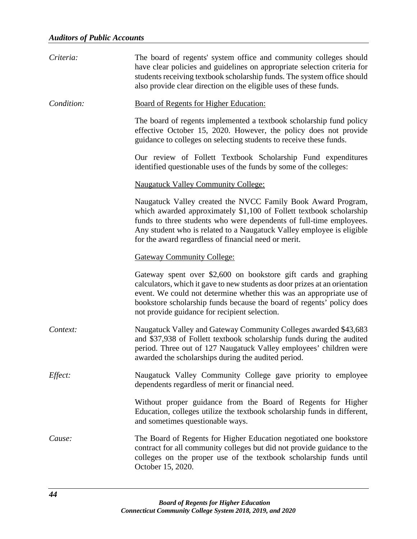| Criteria:  | The board of regents' system office and community colleges should<br>have clear policies and guidelines on appropriate selection criteria for<br>students receiving textbook scholarship funds. The system office should<br>also provide clear direction on the eligible uses of these funds.                                                    |
|------------|--------------------------------------------------------------------------------------------------------------------------------------------------------------------------------------------------------------------------------------------------------------------------------------------------------------------------------------------------|
| Condition: | <b>Board of Regents for Higher Education:</b>                                                                                                                                                                                                                                                                                                    |
|            | The board of regents implemented a textbook scholarship fund policy<br>effective October 15, 2020. However, the policy does not provide<br>guidance to colleges on selecting students to receive these funds.                                                                                                                                    |
|            | Our review of Follett Textbook Scholarship Fund expenditures<br>identified questionable uses of the funds by some of the colleges:                                                                                                                                                                                                               |
|            | <b>Naugatuck Valley Community College:</b>                                                                                                                                                                                                                                                                                                       |
|            | Naugatuck Valley created the NVCC Family Book Award Program,<br>which awarded approximately \$1,100 of Follett textbook scholarship<br>funds to three students who were dependents of full-time employees.<br>Any student who is related to a Naugatuck Valley employee is eligible<br>for the award regardless of financial need or merit.      |
|            | <b>Gateway Community College:</b>                                                                                                                                                                                                                                                                                                                |
|            | Gateway spent over \$2,600 on bookstore gift cards and graphing<br>calculators, which it gave to new students as door prizes at an orientation<br>event. We could not determine whether this was an appropriate use of<br>bookstore scholarship funds because the board of regents' policy does<br>not provide guidance for recipient selection. |
| Context:   | Naugatuck Valley and Gateway Community Colleges awarded \$43,683<br>and \$37,938 of Follett textbook scholarship funds during the audited<br>period. Three out of 127 Naugatuck Valley employees' children were<br>awarded the scholarships during the audited period.                                                                           |
| Effect:    | Naugatuck Valley Community College gave priority to employee<br>dependents regardless of merit or financial need.                                                                                                                                                                                                                                |
|            | Without proper guidance from the Board of Regents for Higher<br>Education, colleges utilize the textbook scholarship funds in different,<br>and sometimes questionable ways.                                                                                                                                                                     |
| Cause:     | The Board of Regents for Higher Education negotiated one bookstore<br>contract for all community colleges but did not provide guidance to the<br>colleges on the proper use of the textbook scholarship funds until<br>October 15, 2020.                                                                                                         |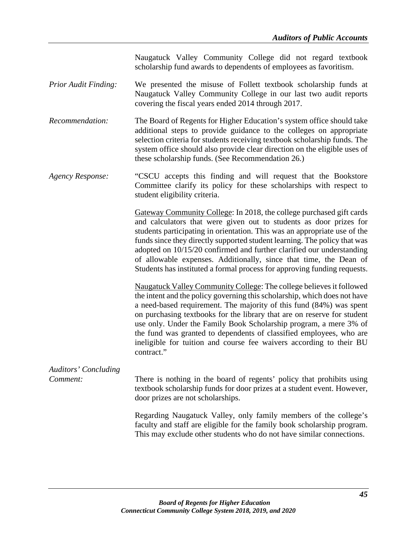Naugatuck Valley Community College did not regard textbook scholarship fund awards to dependents of employees as favoritism.

- *Prior Audit Finding:* We presented the misuse of Follett textbook scholarship funds at Naugatuck Valley Community College in our last two audit reports covering the fiscal years ended 2014 through 2017.
- *Recommendation:* The Board of Regents for Higher Education's system office should take additional steps to provide guidance to the colleges on appropriate selection criteria for students receiving textbook scholarship funds. The system office should also provide clear direction on the eligible uses of these scholarship funds. (See Recommendation 26.)
- *Agency Response:* "CSCU accepts this finding and will request that the Bookstore Committee clarify its policy for these scholarships with respect to student eligibility criteria.

Gateway Community College: In 2018, the college purchased gift cards and calculators that were given out to students as door prizes for students participating in orientation. This was an appropriate use of the funds since they directly supported student learning. The policy that was adopted on 10/15/20 confirmed and further clarified our understanding of allowable expenses. Additionally, since that time, the Dean of Students has instituted a formal process for approving funding requests.

Naugatuck Valley Community College: The college believes it followed the intent and the policy governing this scholarship, which does not have a need-based requirement. The majority of this fund (84%) was spent on purchasing textbooks for the library that are on reserve for student use only. Under the Family Book Scholarship program, a mere 3% of the fund was granted to dependents of classified employees, who are ineligible for tuition and course fee waivers according to their BU contract."

# *Auditors' Concluding*

*Comment:* There is nothing in the board of regents' policy that prohibits using textbook scholarship funds for door prizes at a student event. However, door prizes are not scholarships.

> Regarding Naugatuck Valley, only family members of the college's faculty and staff are eligible for the family book scholarship program. This may exclude other students who do not have similar connections.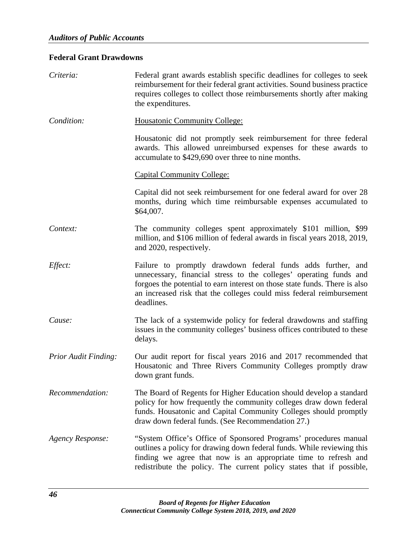# **Federal Grant Drawdowns**

| Criteria:                   | Federal grant awards establish specific deadlines for colleges to seek<br>reimbursement for their federal grant activities. Sound business practice<br>requires colleges to collect those reimbursements shortly after making<br>the expenditures.                                                     |
|-----------------------------|--------------------------------------------------------------------------------------------------------------------------------------------------------------------------------------------------------------------------------------------------------------------------------------------------------|
| Condition:                  | Housatonic Community College:                                                                                                                                                                                                                                                                          |
|                             | Housatonic did not promptly seek reimbursement for three federal<br>awards. This allowed unreimbursed expenses for these awards to<br>accumulate to \$429,690 over three to nine months.                                                                                                               |
|                             | <b>Capital Community College:</b>                                                                                                                                                                                                                                                                      |
|                             | Capital did not seek reimbursement for one federal award for over 28<br>months, during which time reimbursable expenses accumulated to<br>\$64,007.                                                                                                                                                    |
| Context:                    | The community colleges spent approximately \$101 million, \$99<br>million, and \$106 million of federal awards in fiscal years 2018, 2019,<br>and 2020, respectively.                                                                                                                                  |
| Effect:                     | Failure to promptly drawdown federal funds adds further, and<br>unnecessary, financial stress to the colleges' operating funds and<br>forgoes the potential to earn interest on those state funds. There is also<br>an increased risk that the colleges could miss federal reimbursement<br>deadlines. |
| Cause:                      | The lack of a systemwide policy for federal drawdowns and staffing<br>issues in the community colleges' business offices contributed to these<br>delays.                                                                                                                                               |
| <b>Prior Audit Finding:</b> | Our audit report for fiscal years 2016 and 2017 recommended that<br>Housatonic and Three Rivers Community Colleges promptly draw<br>down grant funds.                                                                                                                                                  |
| Recommendation:             | The Board of Regents for Higher Education should develop a standard<br>policy for how frequently the community colleges draw down federal<br>funds. Housatonic and Capital Community Colleges should promptly<br>draw down federal funds. (See Recommendation 27.)                                     |
| <b>Agency Response:</b>     | "System Office's Office of Sponsored Programs' procedures manual<br>outlines a policy for drawing down federal funds. While reviewing this<br>finding we agree that now is an appropriate time to refresh and<br>redistribute the policy. The current policy states that if possible,                  |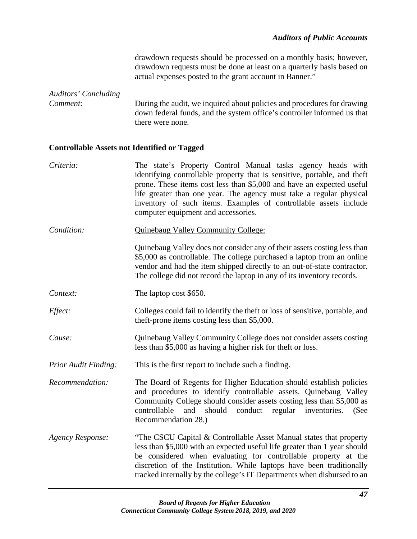drawdown requests should be processed on a monthly basis; however, drawdown requests must be done at least on a quarterly basis based on actual expenses posted to the grant account in Banner."

*Auditors' Concluding Comment:* During the audit, we inquired about policies and procedures for drawing down federal funds, and the system office's controller informed us that there were none.

## **Controllable Assets not Identified or Tagged**

| Criteria:                   | The state's Property Control Manual tasks agency heads with<br>identifying controllable property that is sensitive, portable, and theft<br>prone. These items cost less than \$5,000 and have an expected useful<br>life greater than one year. The agency must take a regular physical<br>inventory of such items. Examples of controllable assets include<br>computer equipment and accessories. |
|-----------------------------|----------------------------------------------------------------------------------------------------------------------------------------------------------------------------------------------------------------------------------------------------------------------------------------------------------------------------------------------------------------------------------------------------|
| Condition:                  | <b>Quinebaug Valley Community College:</b>                                                                                                                                                                                                                                                                                                                                                         |
|                             | Quinebaug Valley does not consider any of their assets costing less than<br>\$5,000 as controllable. The college purchased a laptop from an online<br>vendor and had the item shipped directly to an out-of-state contractor.<br>The college did not record the laptop in any of its inventory records.                                                                                            |
| Context:                    | The laptop cost \$650.                                                                                                                                                                                                                                                                                                                                                                             |
| Effect:                     | Colleges could fail to identify the theft or loss of sensitive, portable, and<br>theft-prone items costing less than \$5,000.                                                                                                                                                                                                                                                                      |
| Cause:                      | Quinebaug Valley Community College does not consider assets costing<br>less than \$5,000 as having a higher risk for theft or loss.                                                                                                                                                                                                                                                                |
| <b>Prior Audit Finding:</b> | This is the first report to include such a finding.                                                                                                                                                                                                                                                                                                                                                |
| Recommendation:             | The Board of Regents for Higher Education should establish policies<br>and procedures to identify controllable assets. Quinebaug Valley<br>Community College should consider assets costing less than \$5,000 as<br>controllable<br>and<br>should<br>conduct<br>regular inventories.<br>(See<br>Recommendation 28.)                                                                                |
| <b>Agency Response:</b>     | "The CSCU Capital & Controllable Asset Manual states that property<br>less than \$5,000 with an expected useful life greater than 1 year should<br>be considered when evaluating for controllable property at the<br>discretion of the Institution. While laptops have been traditionally<br>tracked internally by the college's IT Departments when disbursed to an                               |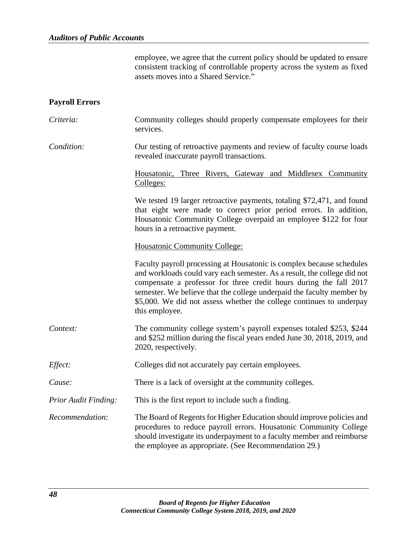employee, we agree that the current policy should be updated to ensure consistent tracking of controllable property across the system as fixed assets moves into a Shared Service."

## **Payroll Errors**

| Criteria:                   | Community colleges should properly compensate employees for their<br>services.                                                                                                                                                                                                                                                                                                             |
|-----------------------------|--------------------------------------------------------------------------------------------------------------------------------------------------------------------------------------------------------------------------------------------------------------------------------------------------------------------------------------------------------------------------------------------|
| Condition:                  | Our testing of retroactive payments and review of faculty course loads<br>revealed inaccurate payroll transactions.                                                                                                                                                                                                                                                                        |
|                             | Housatonic, Three Rivers, Gateway and Middlesex Community<br>Colleges:                                                                                                                                                                                                                                                                                                                     |
|                             | We tested 19 larger retroactive payments, totaling \$72,471, and found<br>that eight were made to correct prior period errors. In addition,<br>Housatonic Community College overpaid an employee \$122 for four<br>hours in a retroactive payment.                                                                                                                                         |
|                             | <b>Housatonic Community College:</b>                                                                                                                                                                                                                                                                                                                                                       |
|                             | Faculty payroll processing at Housatonic is complex because schedules<br>and workloads could vary each semester. As a result, the college did not<br>compensate a professor for three credit hours during the fall 2017<br>semester. We believe that the college underpaid the faculty member by<br>\$5,000. We did not assess whether the college continues to underpay<br>this employee. |
| Context:                    | The community college system's payroll expenses totaled \$253, \$244<br>and \$252 million during the fiscal years ended June 30, 2018, 2019, and<br>2020, respectively.                                                                                                                                                                                                                    |
| Effect:                     | Colleges did not accurately pay certain employees.                                                                                                                                                                                                                                                                                                                                         |
| Cause:                      | There is a lack of oversight at the community colleges.                                                                                                                                                                                                                                                                                                                                    |
| <b>Prior Audit Finding:</b> | This is the first report to include such a finding.                                                                                                                                                                                                                                                                                                                                        |
| Recommendation:             | The Board of Regents for Higher Education should improve policies and<br>procedures to reduce payroll errors. Housatonic Community College<br>should investigate its underpayment to a faculty member and reimburse<br>the employee as appropriate. (See Recommendation 29.)                                                                                                               |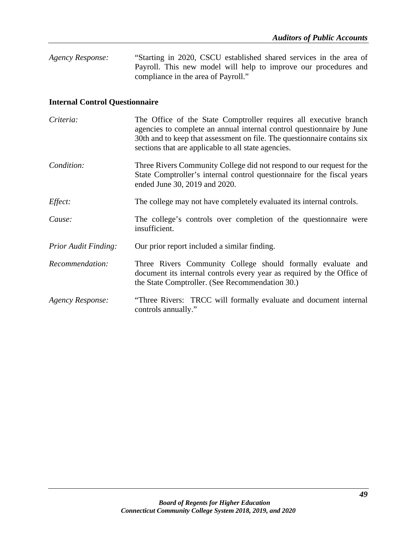*Agency Response:* "Starting in 2020, CSCU established shared services in the area of Payroll. This new model will help to improve our procedures and compliance in the area of Payroll."

## **Internal Control Questionnaire**

| Criteria:                   | The Office of the State Comptroller requires all executive branch<br>agencies to complete an annual internal control questionnaire by June<br>30th and to keep that assessment on file. The question aire contains six<br>sections that are applicable to all state agencies. |
|-----------------------------|-------------------------------------------------------------------------------------------------------------------------------------------------------------------------------------------------------------------------------------------------------------------------------|
| Condition:                  | Three Rivers Community College did not respond to our request for the<br>State Comptroller's internal control questionnaire for the fiscal years<br>ended June 30, 2019 and 2020.                                                                                             |
| Effect:                     | The college may not have completely evaluated its internal controls.                                                                                                                                                                                                          |
| Cause:                      | The college's controls over completion of the questionnaire were<br>insufficient.                                                                                                                                                                                             |
| <b>Prior Audit Finding:</b> | Our prior report included a similar finding.                                                                                                                                                                                                                                  |
| Recommendation:             | Three Rivers Community College should formally evaluate and<br>document its internal controls every year as required by the Office of<br>the State Comptroller. (See Recommendation 30.)                                                                                      |
| <b>Agency Response:</b>     | "Three Rivers: TRCC will formally evaluate and document internal<br>controls annually."                                                                                                                                                                                       |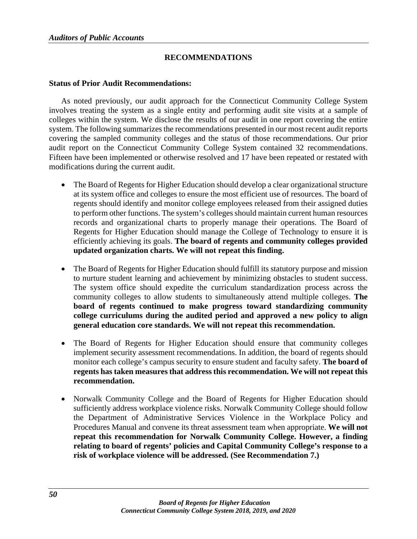## **RECOMMENDATIONS**

#### **Status of Prior Audit Recommendations:**

As noted previously, our audit approach for the Connecticut Community College System involves treating the system as a single entity and performing audit site visits at a sample of colleges within the system. We disclose the results of our audit in one report covering the entire system. The following summarizes the recommendations presented in our most recent audit reports covering the sampled community colleges and the status of those recommendations. Our prior audit report on the Connecticut Community College System contained 32 recommendations. Fifteen have been implemented or otherwise resolved and 17 have been repeated or restated with modifications during the current audit.

- The Board of Regents for Higher Education should develop a clear organizational structure at its system office and colleges to ensure the most efficient use of resources. The board of regents should identify and monitor college employees released from their assigned duties to perform other functions. The system's colleges should maintain current human resources records and organizational charts to properly manage their operations. The Board of Regents for Higher Education should manage the College of Technology to ensure it is efficiently achieving its goals. **The board of regents and community colleges provided updated organization charts. We will not repeat this finding.**
- The Board of Regents for Higher Education should fulfill its statutory purpose and mission to nurture student learning and achievement by minimizing obstacles to student success. The system office should expedite the curriculum standardization process across the community colleges to allow students to simultaneously attend multiple colleges. **The board of regents continued to make progress toward standardizing community college curriculums during the audited period and approved a new policy to align general education core standards. We will not repeat this recommendation.**
- The Board of Regents for Higher Education should ensure that community colleges implement security assessment recommendations. In addition, the board of regents should monitor each college's campus security to ensure student and faculty safety. **The board of regents has taken measures that address this recommendation. We will not repeat this recommendation.**
- Norwalk Community College and the Board of Regents for Higher Education should sufficiently address workplace violence risks. Norwalk Community College should follow the Department of Administrative Services Violence in the Workplace Policy and Procedures Manual and convene its threat assessment team when appropriate. **We will not repeat this recommendation for Norwalk Community College. However, a finding relating to board of regents' policies and Capital Community College's response to a risk of workplace violence will be addressed. (See Recommendation 7.)**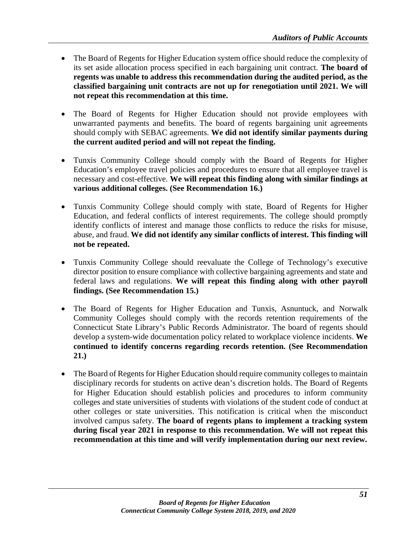- The Board of Regents for Higher Education system office should reduce the complexity of its set aside allocation process specified in each bargaining unit contract. **The board of regents was unable to address this recommendation during the audited period, as the classified bargaining unit contracts are not up for renegotiation until 2021. We will not repeat this recommendation at this time.**
- The Board of Regents for Higher Education should not provide employees with unwarranted payments and benefits. The board of regents bargaining unit agreements should comply with SEBAC agreements. **We did not identify similar payments during the current audited period and will not repeat the finding.**
- Tunxis Community College should comply with the Board of Regents for Higher Education's employee travel policies and procedures to ensure that all employee travel is necessary and cost-effective. **We will repeat this finding along with similar findings at various additional colleges. (See Recommendation 16.)**
- Tunxis Community College should comply with state, Board of Regents for Higher Education, and federal conflicts of interest requirements. The college should promptly identify conflicts of interest and manage those conflicts to reduce the risks for misuse, abuse, and fraud. **We did not identify any similar conflicts of interest. This finding will not be repeated.**
- Tunxis Community College should reevaluate the College of Technology's executive director position to ensure compliance with collective bargaining agreements and state and federal laws and regulations. **We will repeat this finding along with other payroll findings. (See Recommendation 15.)**
- The Board of Regents for Higher Education and Tunxis, Asnuntuck, and Norwalk Community Colleges should comply with the records retention requirements of the Connecticut State Library's Public Records Administrator. The board of regents should develop a system-wide documentation policy related to workplace violence incidents. **We continued to identify concerns regarding records retention. (See Recommendation 21.)**
- The Board of Regents for Higher Education should require community colleges to maintain disciplinary records for students on active dean's discretion holds. The Board of Regents for Higher Education should establish policies and procedures to inform community colleges and state universities of students with violations of the student code of conduct at other colleges or state universities. This notification is critical when the misconduct involved campus safety. **The board of regents plans to implement a tracking system during fiscal year 2021 in response to this recommendation. We will not repeat this recommendation at this time and will verify implementation during our next review.**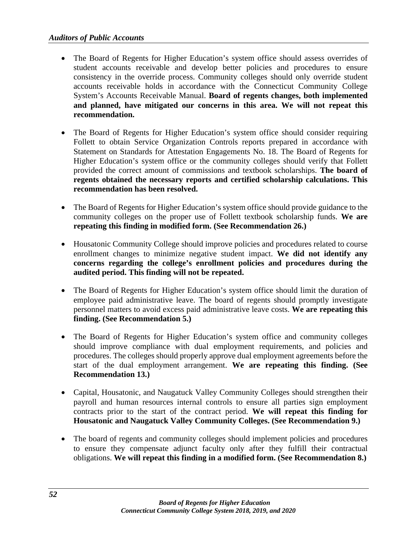- The Board of Regents for Higher Education's system office should assess overrides of student accounts receivable and develop better policies and procedures to ensure consistency in the override process. Community colleges should only override student accounts receivable holds in accordance with the Connecticut Community College System's Accounts Receivable Manual. **Board of regents changes, both implemented and planned, have mitigated our concerns in this area. We will not repeat this recommendation.**
- The Board of Regents for Higher Education's system office should consider requiring Follett to obtain Service Organization Controls reports prepared in accordance with Statement on Standards for Attestation Engagements No. 18. The Board of Regents for Higher Education's system office or the community colleges should verify that Follett provided the correct amount of commissions and textbook scholarships. **The board of regents obtained the necessary reports and certified scholarship calculations. This recommendation has been resolved.**
- The Board of Regents for Higher Education's system office should provide guidance to the community colleges on the proper use of Follett textbook scholarship funds. **We are repeating this finding in modified form. (See Recommendation 26.)**
- Housatonic Community College should improve policies and procedures related to course enrollment changes to minimize negative student impact. **We did not identify any concerns regarding the college's enrollment policies and procedures during the audited period. This finding will not be repeated.**
- The Board of Regents for Higher Education's system office should limit the duration of employee paid administrative leave. The board of regents should promptly investigate personnel matters to avoid excess paid administrative leave costs. **We are repeating this finding. (See Recommendation 5.)**
- The Board of Regents for Higher Education's system office and community colleges should improve compliance with dual employment requirements, and policies and procedures. The colleges should properly approve dual employment agreements before the start of the dual employment arrangement. **We are repeating this finding. (See Recommendation 13.)**
- Capital, Housatonic, and Naugatuck Valley Community Colleges should strengthen their payroll and human resources internal controls to ensure all parties sign employment contracts prior to the start of the contract period. **We will repeat this finding for Housatonic and Naugatuck Valley Community Colleges. (See Recommendation 9.)**
- The board of regents and community colleges should implement policies and procedures to ensure they compensate adjunct faculty only after they fulfill their contractual obligations. **We will repeat this finding in a modified form. (See Recommendation 8.)**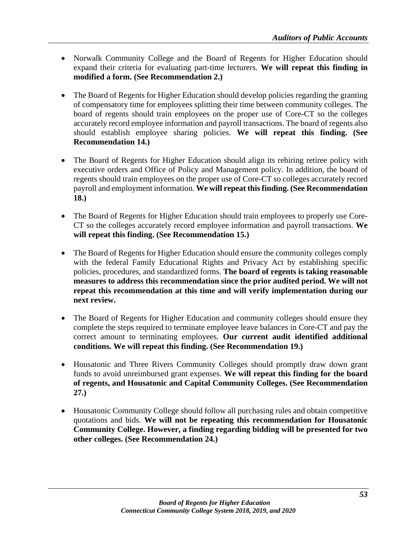- Norwalk Community College and the Board of Regents for Higher Education should expand their criteria for evaluating part-time lecturers. **We will repeat this finding in modified a form. (See Recommendation 2.)**
- The Board of Regents for Higher Education should develop policies regarding the granting of compensatory time for employees splitting their time between community colleges. The board of regents should train employees on the proper use of Core-CT so the colleges accurately record employee information and payroll transactions. The board of regents also should establish employee sharing policies. **We will repeat this finding. (See Recommendation 14.)**
- The Board of Regents for Higher Education should align its rehiring retiree policy with executive orders and Office of Policy and Management policy. In addition, the board of regents should train employees on the proper use of Core-CT so colleges accurately record payroll and employment information. **We will repeat this finding. (See Recommendation 18.)**
- The Board of Regents for Higher Education should train employees to properly use Core-CT so the colleges accurately record employee information and payroll transactions. **We will repeat this finding. (See Recommendation 15.)**
- The Board of Regents for Higher Education should ensure the community colleges comply with the federal Family Educational Rights and Privacy Act by establishing specific policies, procedures, and standardized forms. **The board of regents is taking reasonable measures to address this recommendation since the prior audited period. We will not repeat this recommendation at this time and will verify implementation during our next review.**
- The Board of Regents for Higher Education and community colleges should ensure they complete the steps required to terminate employee leave balances in Core-CT and pay the correct amount to terminating employees. **Our current audit identified additional conditions. We will repeat this finding. (See Recommendation 19.)**
- Housatonic and Three Rivers Community Colleges should promptly draw down grant funds to avoid unreimbursed grant expenses. **We will repeat this finding for the board of regents, and Housatonic and Capital Community Colleges. (See Recommendation 27.)**
- Housatonic Community College should follow all purchasing rules and obtain competitive quotations and bids. **We will not be repeating this recommendation for Housatonic Community College. However, a finding regarding bidding will be presented for two other colleges. (See Recommendation 24.)**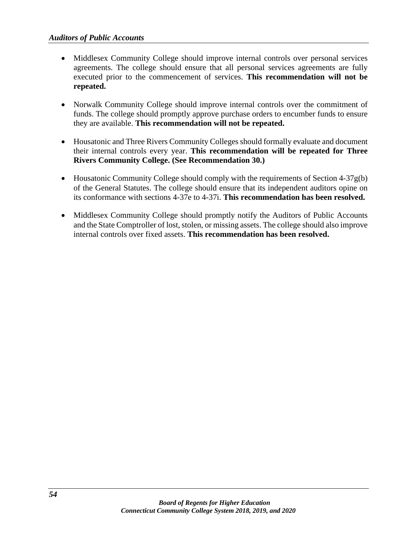- Middlesex Community College should improve internal controls over personal services agreements. The college should ensure that all personal services agreements are fully executed prior to the commencement of services. **This recommendation will not be repeated.**
- Norwalk Community College should improve internal controls over the commitment of funds. The college should promptly approve purchase orders to encumber funds to ensure they are available. **This recommendation will not be repeated.**
- Housatonic and Three Rivers Community Colleges should formally evaluate and document their internal controls every year. **This recommendation will be repeated for Three Rivers Community College. (See Recommendation 30.)**
- Housatonic Community College should comply with the requirements of Section  $4-37g(b)$ of the General Statutes. The college should ensure that its independent auditors opine on its conformance with sections 4-37e to 4-37i. **This recommendation has been resolved.**
- Middlesex Community College should promptly notify the Auditors of Public Accounts and the State Comptroller of lost, stolen, or missing assets. The college should also improve internal controls over fixed assets. **This recommendation has been resolved.**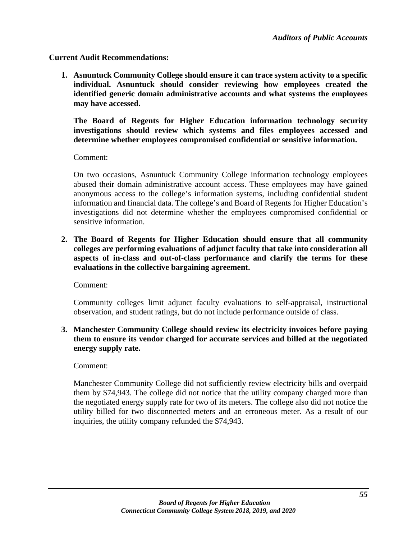**Current Audit Recommendations:**

**1. Asnuntuck Community College should ensure it can trace system activity to a specific individual. Asnuntuck should consider reviewing how employees created the identified generic domain administrative accounts and what systems the employees may have accessed.** 

**The Board of Regents for Higher Education information technology security investigations should review which systems and files employees accessed and determine whether employees compromised confidential or sensitive information.** 

Comment:

On two occasions, Asnuntuck Community College information technology employees abused their domain administrative account access. These employees may have gained anonymous access to the college's information systems, including confidential student information and financial data. The college's and Board of Regents for Higher Education's investigations did not determine whether the employees compromised confidential or sensitive information.

**2. The Board of Regents for Higher Education should ensure that all community colleges are performing evaluations of adjunct faculty that take into consideration all aspects of in-class and out-of-class performance and clarify the terms for these evaluations in the collective bargaining agreement.** 

Comment:

Community colleges limit adjunct faculty evaluations to self-appraisal, instructional observation, and student ratings, but do not include performance outside of class.

**3. Manchester Community College should review its electricity invoices before paying them to ensure its vendor charged for accurate services and billed at the negotiated energy supply rate.** 

Comment:

Manchester Community College did not sufficiently review electricity bills and overpaid them by \$74,943. The college did not notice that the utility company charged more than the negotiated energy supply rate for two of its meters. The college also did not notice the utility billed for two disconnected meters and an erroneous meter. As a result of our inquiries, the utility company refunded the \$74,943.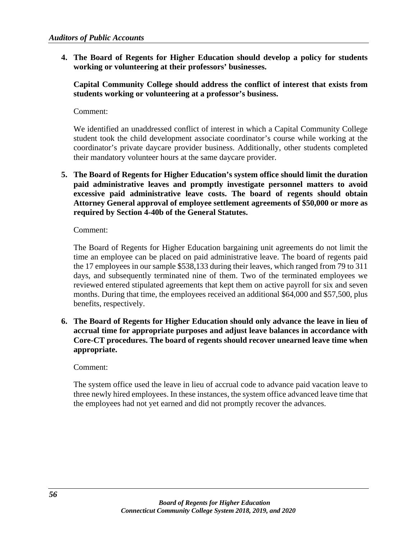**4. The Board of Regents for Higher Education should develop a policy for students working or volunteering at their professors' businesses.** 

**Capital Community College should address the conflict of interest that exists from students working or volunteering at a professor's business.** 

Comment:

We identified an unaddressed conflict of interest in which a Capital Community College student took the child development associate coordinator's course while working at the coordinator's private daycare provider business. Additionally, other students completed their mandatory volunteer hours at the same daycare provider.

**5. The Board of Regents for Higher Education's system office should limit the duration paid administrative leaves and promptly investigate personnel matters to avoid excessive paid administrative leave costs. The board of regents should obtain Attorney General approval of employee settlement agreements of \$50,000 or more as required by Section 4-40b of the General Statutes.**

Comment:

The Board of Regents for Higher Education bargaining unit agreements do not limit the time an employee can be placed on paid administrative leave. The board of regents paid the 17 employees in our sample \$538,133 during their leaves, which ranged from 79 to 311 days, and subsequently terminated nine of them. Two of the terminated employees we reviewed entered stipulated agreements that kept them on active payroll for six and seven months. During that time, the employees received an additional \$64,000 and \$57,500, plus benefits, respectively.

**6. The Board of Regents for Higher Education should only advance the leave in lieu of accrual time for appropriate purposes and adjust leave balances in accordance with Core-CT procedures. The board of regents should recover unearned leave time when appropriate.**

Comment:

The system office used the leave in lieu of accrual code to advance paid vacation leave to three newly hired employees. In these instances, the system office advanced leave time that the employees had not yet earned and did not promptly recover the advances.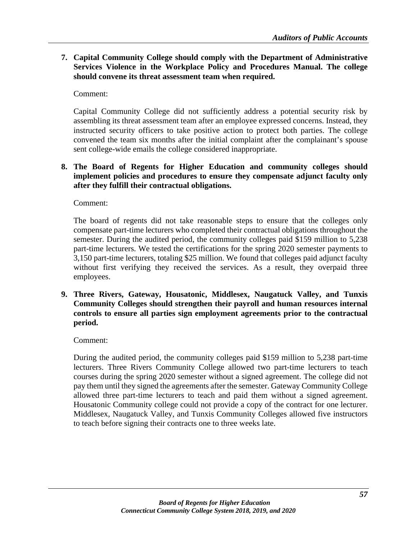**7. Capital Community College should comply with the Department of Administrative Services Violence in the Workplace Policy and Procedures Manual. The college should convene its threat assessment team when required.**

Comment:

Capital Community College did not sufficiently address a potential security risk by assembling its threat assessment team after an employee expressed concerns. Instead, they instructed security officers to take positive action to protect both parties. The college convened the team six months after the initial complaint after the complainant's spouse sent college-wide emails the college considered inappropriate.

**8. The Board of Regents for Higher Education and community colleges should implement policies and procedures to ensure they compensate adjunct faculty only after they fulfill their contractual obligations.** 

Comment:

The board of regents did not take reasonable steps to ensure that the colleges only compensate part-time lecturers who completed their contractual obligations throughout the semester. During the audited period, the community colleges paid \$159 million to 5,238 part-time lecturers. We tested the certifications for the spring 2020 semester payments to 3,150 part-time lecturers, totaling \$25 million. We found that colleges paid adjunct faculty without first verifying they received the services. As a result, they overpaid three employees.

**9. Three Rivers, Gateway, Housatonic, Middlesex, Naugatuck Valley, and Tunxis Community Colleges should strengthen their payroll and human resources internal controls to ensure all parties sign employment agreements prior to the contractual period.** 

Comment:

During the audited period, the community colleges paid \$159 million to 5,238 part-time lecturers. Three Rivers Community College allowed two part-time lecturers to teach courses during the spring 2020 semester without a signed agreement. The college did not pay them until they signed the agreements after the semester. Gateway Community College allowed three part-time lecturers to teach and paid them without a signed agreement. Housatonic Community college could not provide a copy of the contract for one lecturer. Middlesex, Naugatuck Valley, and Tunxis Community Colleges allowed five instructors to teach before signing their contracts one to three weeks late.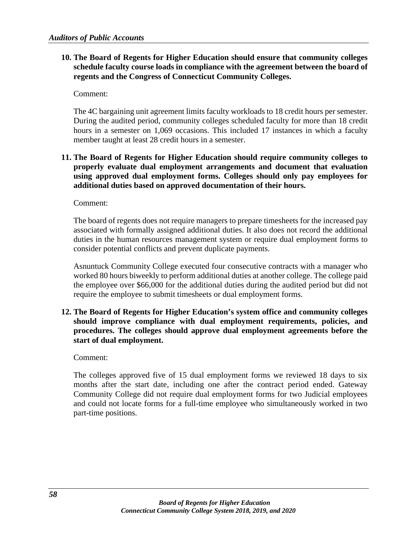## **10. The Board of Regents for Higher Education should ensure that community colleges schedule faculty course loads in compliance with the agreement between the board of regents and the Congress of Connecticut Community Colleges.**

Comment:

The 4C bargaining unit agreement limits faculty workloads to 18 credit hours per semester. During the audited period, community colleges scheduled faculty for more than 18 credit hours in a semester on 1,069 occasions. This included 17 instances in which a faculty member taught at least 28 credit hours in a semester.

## **11. The Board of Regents for Higher Education should require community colleges to properly evaluate dual employment arrangements and document that evaluation using approved dual employment forms. Colleges should only pay employees for additional duties based on approved documentation of their hours.**

Comment:

The board of regents does not require managers to prepare timesheets for the increased pay associated with formally assigned additional duties. It also does not record the additional duties in the human resources management system or require dual employment forms to consider potential conflicts and prevent duplicate payments.

Asnuntuck Community College executed four consecutive contracts with a manager who worked 80 hours biweekly to perform additional duties at another college. The college paid the employee over \$66,000 for the additional duties during the audited period but did not require the employee to submit timesheets or dual employment forms.

**12. The Board of Regents for Higher Education's system office and community colleges should improve compliance with dual employment requirements, policies, and procedures. The colleges should approve dual employment agreements before the start of dual employment.** 

Comment:

The colleges approved five of 15 dual employment forms we reviewed 18 days to six months after the start date, including one after the contract period ended. Gateway Community College did not require dual employment forms for two Judicial employees and could not locate forms for a full-time employee who simultaneously worked in two part-time positions.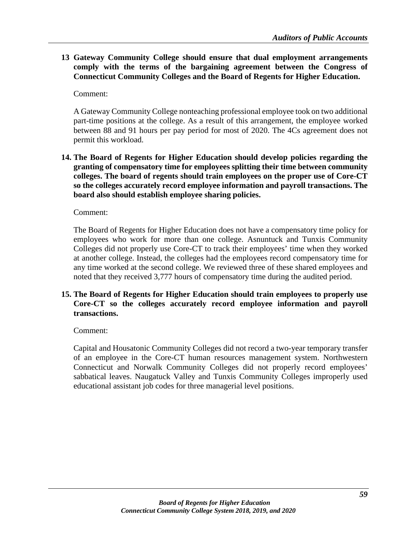**13 Gateway Community College should ensure that dual employment arrangements comply with the terms of the bargaining agreement between the Congress of Connecticut Community Colleges and the Board of Regents for Higher Education.**

Comment:

A Gateway Community College nonteaching professional employee took on two additional part-time positions at the college. As a result of this arrangement, the employee worked between 88 and 91 hours per pay period for most of 2020. The 4Cs agreement does not permit this workload.

**14. The Board of Regents for Higher Education should develop policies regarding the granting of compensatory time for employees splitting their time between community colleges. The board of regents should train employees on the proper use of Core-CT so the colleges accurately record employee information and payroll transactions. The board also should establish employee sharing policies.** 

Comment:

The Board of Regents for Higher Education does not have a compensatory time policy for employees who work for more than one college. Asnuntuck and Tunxis Community Colleges did not properly use Core-CT to track their employees' time when they worked at another college. Instead, the colleges had the employees record compensatory time for any time worked at the second college. We reviewed three of these shared employees and noted that they received 3,777 hours of compensatory time during the audited period.

## **15. The Board of Regents for Higher Education should train employees to properly use Core-CT so the colleges accurately record employee information and payroll transactions.**

Comment:

Capital and Housatonic Community Colleges did not record a two-year temporary transfer of an employee in the Core-CT human resources management system. Northwestern Connecticut and Norwalk Community Colleges did not properly record employees' sabbatical leaves. Naugatuck Valley and Tunxis Community Colleges improperly used educational assistant job codes for three managerial level positions.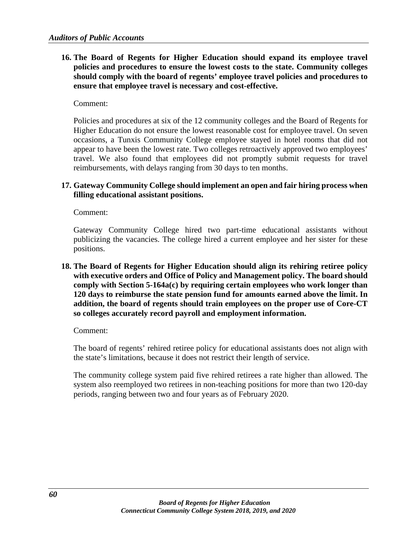**16. The Board of Regents for Higher Education should expand its employee travel policies and procedures to ensure the lowest costs to the state. Community colleges should comply with the board of regents' employee travel policies and procedures to ensure that employee travel is necessary and cost-effective.** 

#### Comment:

Policies and procedures at six of the 12 community colleges and the Board of Regents for Higher Education do not ensure the lowest reasonable cost for employee travel. On seven occasions, a Tunxis Community College employee stayed in hotel rooms that did not appear to have been the lowest rate. Two colleges retroactively approved two employees' travel. We also found that employees did not promptly submit requests for travel reimbursements, with delays ranging from 30 days to ten months.

#### **17. Gateway Community College should implement an open and fair hiring process when filling educational assistant positions.**

Comment:

Gateway Community College hired two part-time educational assistants without publicizing the vacancies. The college hired a current employee and her sister for these positions.

**18. The Board of Regents for Higher Education should align its rehiring retiree policy with executive orders and Office of Policy and Management policy. The board should comply with Section 5-164a(c) by requiring certain employees who work longer than 120 days to reimburse the state pension fund for amounts earned above the limit. In addition, the board of regents should train employees on the proper use of Core-CT so colleges accurately record payroll and employment information.** 

#### Comment:

The board of regents' rehired retiree policy for educational assistants does not align with the state's limitations, because it does not restrict their length of service.

The community college system paid five rehired retirees a rate higher than allowed. The system also reemployed two retirees in non-teaching positions for more than two 120-day periods, ranging between two and four years as of February 2020.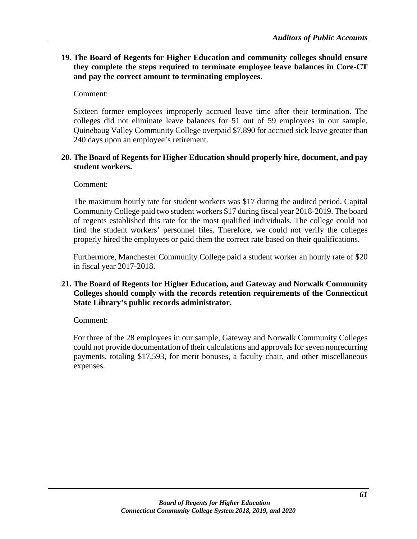## **19. The Board of Regents for Higher Education and community colleges should ensure they complete the steps required to terminate employee leave balances in Core-CT and pay the correct amount to terminating employees.**

Comment:

Sixteen former employees improperly accrued leave time after their termination. The colleges did not eliminate leave balances for 51 out of 59 employees in our sample. Quinebaug Valley Community College overpaid \$7,890 for accrued sick leave greater than 240 days upon an employee's retirement.

## **20. The Board of Regents for Higher Education should properly hire, document, and pay student workers.**

Comment:

The maximum hourly rate for student workers was \$17 during the audited period. Capital Community College paid two student workers \$17 during fiscal year 2018-2019. The board of regents established this rate for the most qualified individuals. The college could not find the student workers' personnel files. Therefore, we could not verify the colleges properly hired the employees or paid them the correct rate based on their qualifications.

Furthermore, Manchester Community College paid a student worker an hourly rate of \$20 in fiscal year 2017-2018.

## **21. The Board of Regents for Higher Education, and Gateway and Norwalk Community Colleges should comply with the records retention requirements of the Connecticut State Library's public records administrator.**

Comment:

For three of the 28 employees in our sample, Gateway and Norwalk Community Colleges could not provide documentation of their calculations and approvals for seven nonrecurring payments, totaling \$17,593, for merit bonuses, a faculty chair, and other miscellaneous expenses.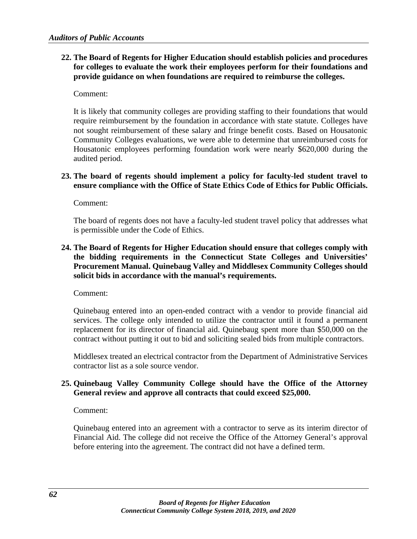## **22. The Board of Regents for Higher Education should establish policies and procedures for colleges to evaluate the work their employees perform for their foundations and provide guidance on when foundations are required to reimburse the colleges.**

#### Comment:

It is likely that community colleges are providing staffing to their foundations that would require reimbursement by the foundation in accordance with state statute. Colleges have not sought reimbursement of these salary and fringe benefit costs. Based on Housatonic Community Colleges evaluations, we were able to determine that unreimbursed costs for Housatonic employees performing foundation work were nearly \$620,000 during the audited period.

## **23. The board of regents should implement a policy for faculty-led student travel to ensure compliance with the Office of State Ethics Code of Ethics for Public Officials.**

Comment:

The board of regents does not have a faculty-led student travel policy that addresses what is permissible under the Code of Ethics.

## **24. The Board of Regents for Higher Education should ensure that colleges comply with the bidding requirements in the Connecticut State Colleges and Universities' Procurement Manual. Quinebaug Valley and Middlesex Community Colleges should solicit bids in accordance with the manual's requirements.**

Comment:

Quinebaug entered into an open-ended contract with a vendor to provide financial aid services. The college only intended to utilize the contractor until it found a permanent replacement for its director of financial aid. Quinebaug spent more than \$50,000 on the contract without putting it out to bid and soliciting sealed bids from multiple contractors.

Middlesex treated an electrical contractor from the Department of Administrative Services contractor list as a sole source vendor.

## **25. Quinebaug Valley Community College should have the Office of the Attorney General review and approve all contracts that could exceed \$25,000.**

Comment:

Quinebaug entered into an agreement with a contractor to serve as its interim director of Financial Aid. The college did not receive the Office of the Attorney General's approval before entering into the agreement. The contract did not have a defined term.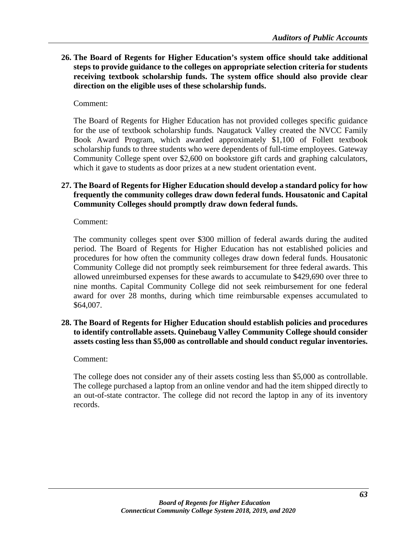**26. The Board of Regents for Higher Education's system office should take additional steps to provide guidance to the colleges on appropriate selection criteria for students receiving textbook scholarship funds. The system office should also provide clear direction on the eligible uses of these scholarship funds.**

## Comment:

The Board of Regents for Higher Education has not provided colleges specific guidance for the use of textbook scholarship funds. Naugatuck Valley created the NVCC Family Book Award Program, which awarded approximately \$1,100 of Follett textbook scholarship funds to three students who were dependents of full-time employees. Gateway Community College spent over \$2,600 on bookstore gift cards and graphing calculators, which it gave to students as door prizes at a new student orientation event.

## **27. The Board of Regents for Higher Education should develop a standard policy for how frequently the community colleges draw down federal funds. Housatonic and Capital Community Colleges should promptly draw down federal funds.**

Comment:

The community colleges spent over \$300 million of federal awards during the audited period. The Board of Regents for Higher Education has not established policies and procedures for how often the community colleges draw down federal funds. Housatonic Community College did not promptly seek reimbursement for three federal awards. This allowed unreimbursed expenses for these awards to accumulate to \$429,690 over three to nine months. Capital Community College did not seek reimbursement for one federal award for over 28 months, during which time reimbursable expenses accumulated to \$64,007.

**28. The Board of Regents for Higher Education should establish policies and procedures to identify controllable assets. Quinebaug Valley Community College should consider assets costing less than \$5,000 as controllable and should conduct regular inventories.**

#### Comment:

The college does not consider any of their assets costing less than \$5,000 as controllable. The college purchased a laptop from an online vendor and had the item shipped directly to an out-of-state contractor. The college did not record the laptop in any of its inventory records.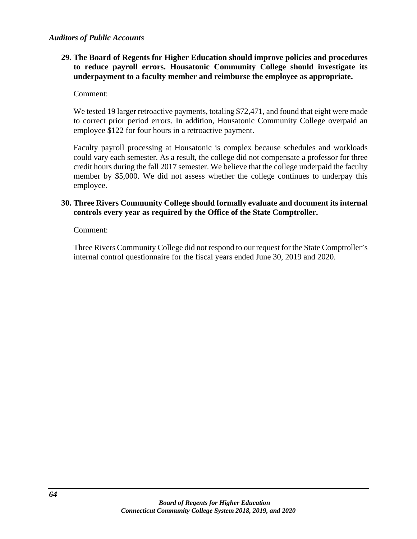## **29. The Board of Regents for Higher Education should improve policies and procedures to reduce payroll errors. Housatonic Community College should investigate its underpayment to a faculty member and reimburse the employee as appropriate.**

Comment:

We tested 19 larger retroactive payments, totaling \$72,471, and found that eight were made to correct prior period errors. In addition, Housatonic Community College overpaid an employee \$122 for four hours in a retroactive payment.

Faculty payroll processing at Housatonic is complex because schedules and workloads could vary each semester. As a result, the college did not compensate a professor for three credit hours during the fall 2017 semester. We believe that the college underpaid the faculty member by \$5,000. We did not assess whether the college continues to underpay this employee.

## **30. Three Rivers Community College should formally evaluate and document its internal controls every year as required by the Office of the State Comptroller.**

Comment:

Three Rivers Community College did not respond to our request for the State Comptroller's internal control questionnaire for the fiscal years ended June 30, 2019 and 2020.